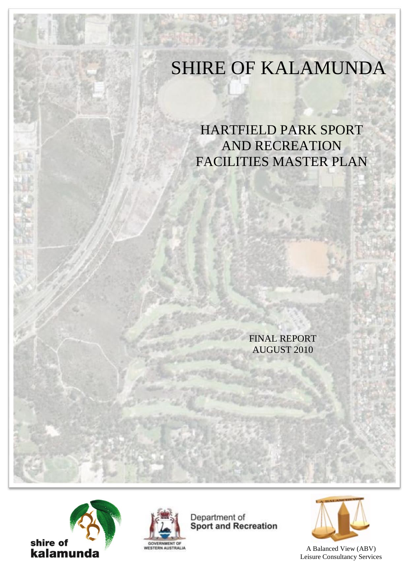# SHIRE OF KALAMUNDA

HARTFIELD PARK SPORT AND RECREATION FACILITIES MASTER PLAN

> FINAL REPORT AUGUST 2010





Department of **Sport and Recreation** 



A Balanced View (ABV) Leisure Consultancy Services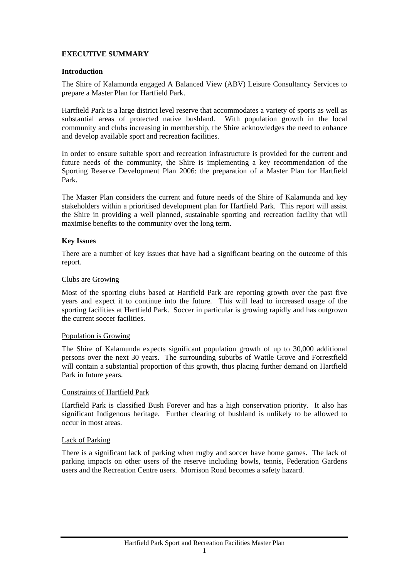# **EXECUTIVE SUMMARY**

## **Introduction**

The Shire of Kalamunda engaged A Balanced View (ABV) Leisure Consultancy Services to prepare a Master Plan for Hartfield Park.

Hartfield Park is a large district level reserve that accommodates a variety of sports as well as substantial areas of protected native bushland. With population growth in the local community and clubs increasing in membership, the Shire acknowledges the need to enhance and develop available sport and recreation facilities.

In order to ensure suitable sport and recreation infrastructure is provided for the current and future needs of the community, the Shire is implementing a key recommendation of the Sporting Reserve Development Plan 2006: the preparation of a Master Plan for Hartfield Park.

The Master Plan considers the current and future needs of the Shire of Kalamunda and key stakeholders within a prioritised development plan for Hartfield Park. This report will assist the Shire in providing a well planned, sustainable sporting and recreation facility that will maximise benefits to the community over the long term.

## **Key Issues**

There are a number of key issues that have had a significant bearing on the outcome of this report.

## Clubs are Growing

Most of the sporting clubs based at Hartfield Park are reporting growth over the past five years and expect it to continue into the future. This will lead to increased usage of the sporting facilities at Hartfield Park. Soccer in particular is growing rapidly and has outgrown the current soccer facilities.

#### Population is Growing

The Shire of Kalamunda expects significant population growth of up to 30,000 additional persons over the next 30 years. The surrounding suburbs of Wattle Grove and Forrestfield will contain a substantial proportion of this growth, thus placing further demand on Hartfield Park in future years.

#### Constraints of Hartfield Park

Hartfield Park is classified Bush Forever and has a high conservation priority. It also has significant Indigenous heritage. Further clearing of bushland is unlikely to be allowed to occur in most areas.

#### Lack of Parking

There is a significant lack of parking when rugby and soccer have home games. The lack of parking impacts on other users of the reserve including bowls, tennis, Federation Gardens users and the Recreation Centre users. Morrison Road becomes a safety hazard.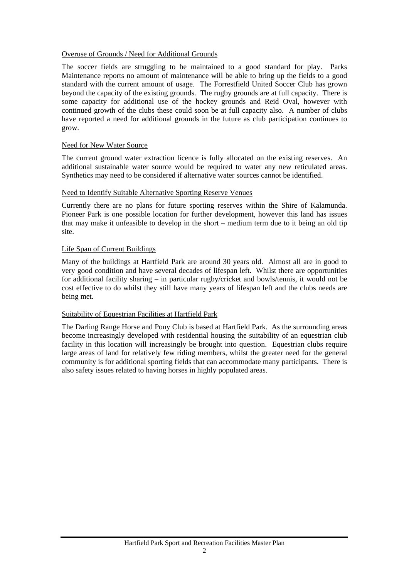## Overuse of Grounds / Need for Additional Grounds

The soccer fields are struggling to be maintained to a good standard for play. Parks Maintenance reports no amount of maintenance will be able to bring up the fields to a good standard with the current amount of usage. The Forrestfield United Soccer Club has grown beyond the capacity of the existing grounds. The rugby grounds are at full capacity. There is some capacity for additional use of the hockey grounds and Reid Oval, however with continued growth of the clubs these could soon be at full capacity also. A number of clubs have reported a need for additional grounds in the future as club participation continues to grow.

## Need for New Water Source

The current ground water extraction licence is fully allocated on the existing reserves. An additional sustainable water source would be required to water any new reticulated areas. Synthetics may need to be considered if alternative water sources cannot be identified.

## Need to Identify Suitable Alternative Sporting Reserve Venues

Currently there are no plans for future sporting reserves within the Shire of Kalamunda. Pioneer Park is one possible location for further development, however this land has issues that may make it unfeasible to develop in the short – medium term due to it being an old tip site.

## Life Span of Current Buildings

Many of the buildings at Hartfield Park are around 30 years old. Almost all are in good to very good condition and have several decades of lifespan left. Whilst there are opportunities for additional facility sharing – in particular rugby/cricket and bowls/tennis, it would not be cost effective to do whilst they still have many years of lifespan left and the clubs needs are being met.

#### Suitability of Equestrian Facilities at Hartfield Park

The Darling Range Horse and Pony Club is based at Hartfield Park. As the surrounding areas become increasingly developed with residential housing the suitability of an equestrian club facility in this location will increasingly be brought into question. Equestrian clubs require large areas of land for relatively few riding members, whilst the greater need for the general community is for additional sporting fields that can accommodate many participants. There is also safety issues related to having horses in highly populated areas.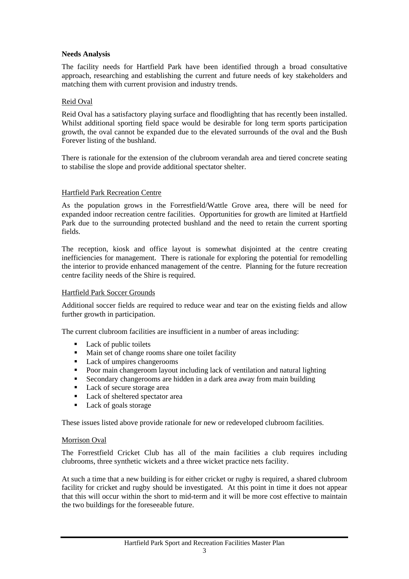#### **Needs Analysis**

The facility needs for Hartfield Park have been identified through a broad consultative approach, researching and establishing the current and future needs of key stakeholders and matching them with current provision and industry trends.

## Reid Oval

Reid Oval has a satisfactory playing surface and floodlighting that has recently been installed. Whilst additional sporting field space would be desirable for long term sports participation growth, the oval cannot be expanded due to the elevated surrounds of the oval and the Bush Forever listing of the bushland.

There is rationale for the extension of the clubroom verandah area and tiered concrete seating to stabilise the slope and provide additional spectator shelter.

#### Hartfield Park Recreation Centre

As the population grows in the Forrestfield/Wattle Grove area, there will be need for expanded indoor recreation centre facilities. Opportunities for growth are limited at Hartfield Park due to the surrounding protected bushland and the need to retain the current sporting fields.

The reception, kiosk and office layout is somewhat disjointed at the centre creating inefficiencies for management. There is rationale for exploring the potential for remodelling the interior to provide enhanced management of the centre. Planning for the future recreation centre facility needs of the Shire is required.

#### Hartfield Park Soccer Grounds

Additional soccer fields are required to reduce wear and tear on the existing fields and allow further growth in participation.

The current clubroom facilities are insufficient in a number of areas including:

- Lack of public toilets<br>• Main set of change ro
- Main set of change rooms share one toilet facility
- Lack of umpires changerooms
- Poor main changeroom layout including lack of ventilation and natural lighting
- Secondary changerooms are hidden in a dark area away from main building
- Lack of secure storage area
- Lack of sheltered spectator area
- Lack of goals storage

These issues listed above provide rationale for new or redeveloped clubroom facilities.

#### Morrison Oval

The Forrestfield Cricket Club has all of the main facilities a club requires including clubrooms, three synthetic wickets and a three wicket practice nets facility.

At such a time that a new building is for either cricket or rugby is required, a shared clubroom facility for cricket and rugby should be investigated. At this point in time it does not appear that this will occur within the short to mid-term and it will be more cost effective to maintain the two buildings for the foreseeable future.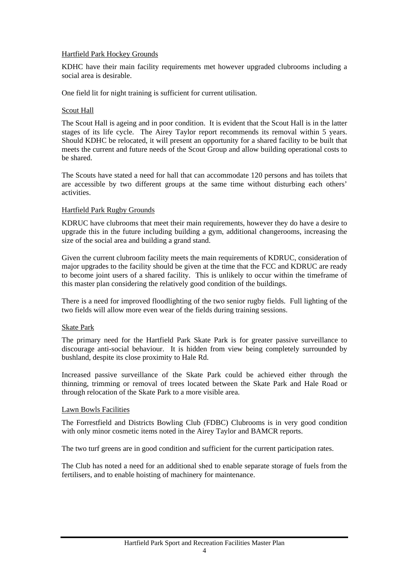## Hartfield Park Hockey Grounds

KDHC have their main facility requirements met however upgraded clubrooms including a social area is desirable.

One field lit for night training is sufficient for current utilisation.

## Scout Hall

The Scout Hall is ageing and in poor condition. It is evident that the Scout Hall is in the latter stages of its life cycle. The Airey Taylor report recommends its removal within 5 years. Should KDHC be relocated, it will present an opportunity for a shared facility to be built that meets the current and future needs of the Scout Group and allow building operational costs to be shared.

The Scouts have stated a need for hall that can accommodate 120 persons and has toilets that are accessible by two different groups at the same time without disturbing each others' activities.

## Hartfield Park Rugby Grounds

KDRUC have clubrooms that meet their main requirements, however they do have a desire to upgrade this in the future including building a gym, additional changerooms, increasing the size of the social area and building a grand stand.

Given the current clubroom facility meets the main requirements of KDRUC, consideration of major upgrades to the facility should be given at the time that the FCC and KDRUC are ready to become joint users of a shared facility. This is unlikely to occur within the timeframe of this master plan considering the relatively good condition of the buildings.

There is a need for improved floodlighting of the two senior rugby fields. Full lighting of the two fields will allow more even wear of the fields during training sessions.

#### Skate Park

The primary need for the Hartfield Park Skate Park is for greater passive surveillance to discourage anti-social behaviour. It is hidden from view being completely surrounded by bushland, despite its close proximity to Hale Rd.

Increased passive surveillance of the Skate Park could be achieved either through the thinning, trimming or removal of trees located between the Skate Park and Hale Road or through relocation of the Skate Park to a more visible area.

#### Lawn Bowls Facilities

The Forrestfield and Districts Bowling Club (FDBC) Clubrooms is in very good condition with only minor cosmetic items noted in the Airey Taylor and BAMCR reports.

The two turf greens are in good condition and sufficient for the current participation rates.

The Club has noted a need for an additional shed to enable separate storage of fuels from the fertilisers, and to enable hoisting of machinery for maintenance.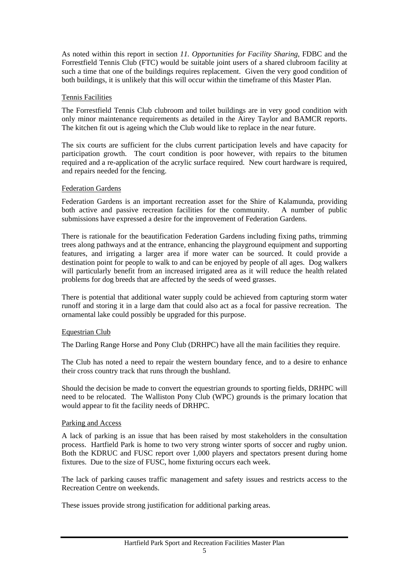As noted within this report in section *11. Opportunities for Facility Sharing*, FDBC and the Forrestfield Tennis Club (FTC) would be suitable joint users of a shared clubroom facility at such a time that one of the buildings requires replacement. Given the very good condition of both buildings, it is unlikely that this will occur within the timeframe of this Master Plan.

#### Tennis Facilities

The Forrestfield Tennis Club clubroom and toilet buildings are in very good condition with only minor maintenance requirements as detailed in the Airey Taylor and BAMCR reports. The kitchen fit out is ageing which the Club would like to replace in the near future.

The six courts are sufficient for the clubs current participation levels and have capacity for participation growth. The court condition is poor however, with repairs to the bitumen required and a re-application of the acrylic surface required. New court hardware is required, and repairs needed for the fencing.

## Federation Gardens

Federation Gardens is an important recreation asset for the Shire of Kalamunda, providing both active and passive recreation facilities for the community. A number of public submissions have expressed a desire for the improvement of Federation Gardens.

There is rationale for the beautification Federation Gardens including fixing paths, trimming trees along pathways and at the entrance, enhancing the playground equipment and supporting features, and irrigating a larger area if more water can be sourced. It could provide a destination point for people to walk to and can be enjoyed by people of all ages. Dog walkers will particularly benefit from an increased irrigated area as it will reduce the health related problems for dog breeds that are affected by the seeds of weed grasses.

There is potential that additional water supply could be achieved from capturing storm water runoff and storing it in a large dam that could also act as a focal for passive recreation. The ornamental lake could possibly be upgraded for this purpose.

#### Equestrian Club

The Darling Range Horse and Pony Club (DRHPC) have all the main facilities they require.

The Club has noted a need to repair the western boundary fence, and to a desire to enhance their cross country track that runs through the bushland.

Should the decision be made to convert the equestrian grounds to sporting fields, DRHPC will need to be relocated. The Walliston Pony Club (WPC) grounds is the primary location that would appear to fit the facility needs of DRHPC.

#### Parking and Access

A lack of parking is an issue that has been raised by most stakeholders in the consultation process. Hartfield Park is home to two very strong winter sports of soccer and rugby union. Both the KDRUC and FUSC report over 1,000 players and spectators present during home fixtures. Due to the size of FUSC, home fixturing occurs each week.

The lack of parking causes traffic management and safety issues and restricts access to the Recreation Centre on weekends.

These issues provide strong justification for additional parking areas.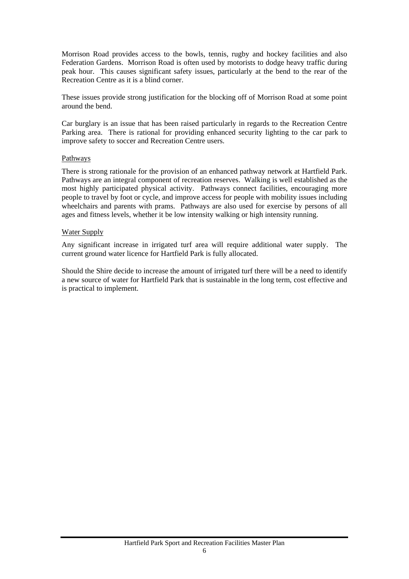Morrison Road provides access to the bowls, tennis, rugby and hockey facilities and also Federation Gardens. Morrison Road is often used by motorists to dodge heavy traffic during peak hour. This causes significant safety issues, particularly at the bend to the rear of the Recreation Centre as it is a blind corner.

These issues provide strong justification for the blocking off of Morrison Road at some point around the bend.

Car burglary is an issue that has been raised particularly in regards to the Recreation Centre Parking area. There is rational for providing enhanced security lighting to the car park to improve safety to soccer and Recreation Centre users.

#### Pathways

There is strong rationale for the provision of an enhanced pathway network at Hartfield Park. Pathways are an integral component of recreation reserves. Walking is well established as the most highly participated physical activity. Pathways connect facilities, encouraging more people to travel by foot or cycle, and improve access for people with mobility issues including wheelchairs and parents with prams. Pathways are also used for exercise by persons of all ages and fitness levels, whether it be low intensity walking or high intensity running.

## Water Supply

Any significant increase in irrigated turf area will require additional water supply. The current ground water licence for Hartfield Park is fully allocated.

Should the Shire decide to increase the amount of irrigated turf there will be a need to identify a new source of water for Hartfield Park that is sustainable in the long term, cost effective and is practical to implement.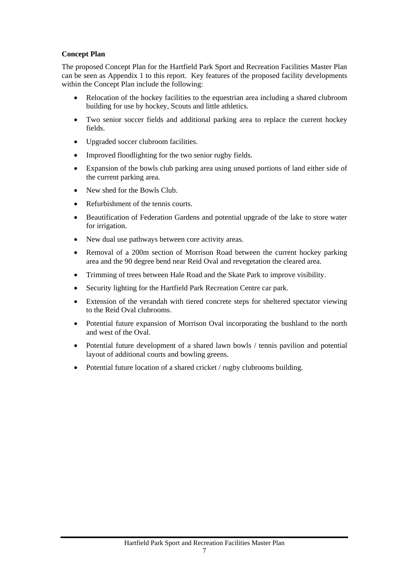# **Concept Plan**

The proposed Concept Plan for the Hartfield Park Sport and Recreation Facilities Master Plan can be seen as Appendix 1 to this report. Key features of the proposed facility developments within the Concept Plan include the following:

- Relocation of the hockey facilities to the equestrian area including a shared clubroom building for use by hockey, Scouts and little athletics.
- Two senior soccer fields and additional parking area to replace the current hockey fields.
- Upgraded soccer clubroom facilities.
- Improved floodlighting for the two senior rugby fields.
- Expansion of the bowls club parking area using unused portions of land either side of the current parking area.
- New shed for the Bowls Club.
- Refurbishment of the tennis courts.
- Beautification of Federation Gardens and potential upgrade of the lake to store water for irrigation.
- New dual use pathways between core activity areas.
- Removal of a 200m section of Morrison Road between the current hockey parking area and the 90 degree bend near Reid Oval and revegetation the cleared area.
- Trimming of trees between Hale Road and the Skate Park to improve visibility.
- Security lighting for the Hartfield Park Recreation Centre car park.
- Extension of the verandah with tiered concrete steps for sheltered spectator viewing to the Reid Oval clubrooms.
- Potential future expansion of Morrison Oval incorporating the bushland to the north and west of the Oval.
- Potential future development of a shared lawn bowls / tennis pavilion and potential layout of additional courts and bowling greens.
- Potential future location of a shared cricket / rugby clubrooms building.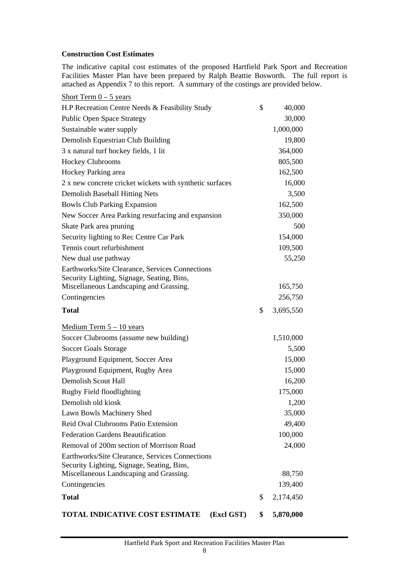## **Construction Cost Estimates**

The indicative capital cost estimates of the proposed Hartfield Park Sport and Recreation Facilities Master Plan have been prepared by Ralph Beattie Bosworth. The full report is attached as Appendix 7 to this report. A summary of the costings are provided below.

| <b>TOTAL INDICATIVE COST ESTIMATE</b><br>(Excl GST)                                   | \$<br>5,870,000 |
|---------------------------------------------------------------------------------------|-----------------|
| <b>Total</b>                                                                          | \$<br>2,174,450 |
| Contingencies                                                                         | 139,400         |
| Miscellaneous Landscaping and Grassing.                                               | 88,750          |
| Security Lighting, Signage, Seating, Bins,                                            |                 |
| Earthworks/Site Clearance, Services Connections                                       | 24,000          |
| Removal of 200m section of Morrison Road                                              | 100,000         |
| Reid Oval Clubrooms Patio Extension<br><b>Federation Gardens Beautification</b>       | 49,400          |
| Lawn Bowls Machinery Shed                                                             | 35,000          |
| Demolish old kiosk                                                                    | 1,200           |
| Rugby Field floodlighting                                                             | 175,000         |
| <b>Demolish Scout Hall</b>                                                            | 16,200          |
| Playground Equipment, Rugby Area                                                      | 15,000          |
| Playground Equipment, Soccer Area                                                     | 15,000          |
| <b>Soccer Goals Storage</b>                                                           | 5,500           |
| Soccer Clubrooms (assume new building)                                                | 1,510,000       |
| Medium Term $5 - 10$ years                                                            |                 |
|                                                                                       |                 |
| <b>Total</b>                                                                          | \$<br>3,695,550 |
| Contingencies                                                                         | 256,750         |
| Security Lighting, Signage, Seating, Bins,<br>Miscellaneous Landscaping and Grassing. | 165,750         |
| Earthworks/Site Clearance, Services Connections                                       |                 |
| New dual use pathway                                                                  | 55,250          |
| Tennis court refurbishment                                                            | 109,500         |
| Security lighting to Rec Centre Car Park                                              | 154,000         |
| Skate Park area pruning                                                               | 500             |
| New Soccer Area Parking resurfacing and expansion                                     | 350,000         |
| <b>Bowls Club Parking Expansion</b>                                                   | 162,500         |
| Demolish Baseball Hitting Nets                                                        | 3,500           |
| 2 x new concrete cricket wickets with synthetic surfaces                              | 16,000          |
| Hockey Parking area                                                                   | 162,500         |
| <b>Hockey Clubrooms</b>                                                               | 805,500         |
| 3 x natural turf hockey fields, 1 lit                                                 | 364,000         |
| Demolish Equestrian Club Building                                                     | 19,800          |
| Sustainable water supply                                                              | 1,000,000       |
| <b>Public Open Space Strategy</b>                                                     | 30,000          |
| H.P Recreation Centre Needs & Feasibility Study                                       | \$<br>40,000    |
| Short Term $0 - 5$ years                                                              |                 |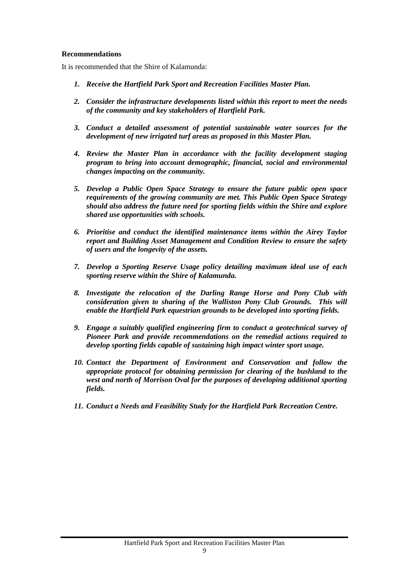#### **Recommendations**

It is recommended that the Shire of Kalamunda:

- *1. Receive the Hartfield Park Sport and Recreation Facilities Master Plan.*
- *2. Consider the infrastructure developments listed within this report to meet the needs of the community and key stakeholders of Hartfield Park.*
- *3. Conduct a detailed assessment of potential sustainable water sources for the development of new irrigated turf areas as proposed in this Master Plan.*
- *4. Review the Master Plan in accordance with the facility development staging program to bring into account demographic, financial, social and environmental changes impacting on the community.*
- *5. Develop a Public Open Space Strategy to ensure the future public open space requirements of the growing community are met. This Public Open Space Strategy should also address the future need for sporting fields within the Shire and explore shared use opportunities with schools.*
- *6. Prioritise and conduct the identified maintenance items within the Airey Taylor report and Building Asset Management and Condition Review to ensure the safety of users and the longevity of the assets.*
- *7. Develop a Sporting Reserve Usage policy detailing maximum ideal use of each sporting reserve within the Shire of Kalamunda.*
- *8. Investigate the relocation of the Darling Range Horse and Pony Club with consideration given to sharing of the Walliston Pony Club Grounds. This will enable the Hartfield Park equestrian grounds to be developed into sporting fields.*
- *9. Engage a suitably qualified engineering firm to conduct a geotechnical survey of Pioneer Park and provide recommendations on the remedial actions required to develop sporting fields capable of sustaining high impact winter sport usage.*
- *10. Contact the Department of Environment and Conservation and follow the appropriate protocol for obtaining permission for clearing of the bushland to the west and north of Morrison Oval for the purposes of developing additional sporting fields.*
- *11. Conduct a Needs and Feasibility Study for the Hartfield Park Recreation Centre.*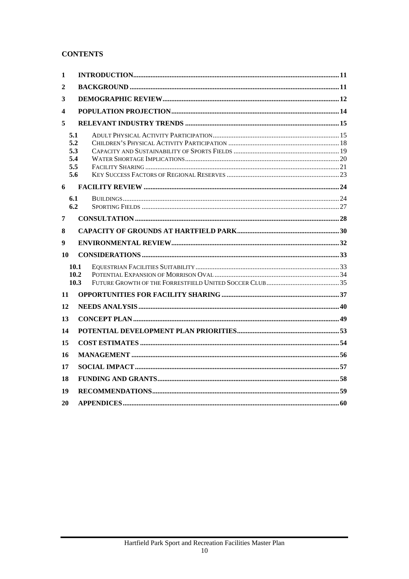# **CONTENTS**

| 1              |                                        |  |
|----------------|----------------------------------------|--|
| $\overline{2}$ |                                        |  |
| 3              |                                        |  |
| 4              |                                        |  |
| 5              |                                        |  |
|                | 5.1<br>5.2<br>5.3<br>5.4<br>5.5<br>5.6 |  |
| 6              |                                        |  |
|                | 6.1<br>6.2                             |  |
| 7              |                                        |  |
| 8              |                                        |  |
|                |                                        |  |
| 9              |                                        |  |
| 10             |                                        |  |
|                | 10.1<br>10.2<br>10.3                   |  |
| 11             |                                        |  |
| 12             |                                        |  |
| 13             |                                        |  |
| 14             |                                        |  |
| 15             |                                        |  |
| 16             |                                        |  |
| 17             |                                        |  |
| 18             |                                        |  |
| 19             |                                        |  |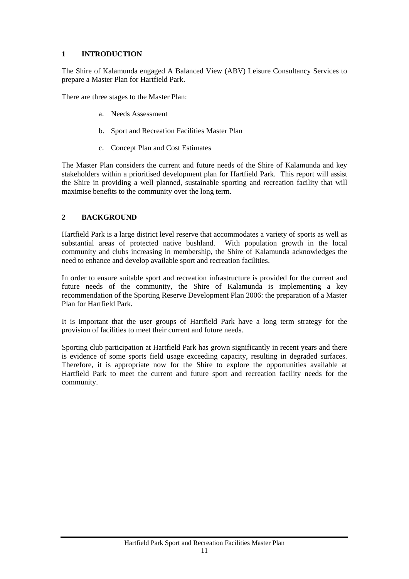# <span id="page-11-0"></span>**1 INTRODUCTION**

The Shire of Kalamunda engaged A Balanced View (ABV) Leisure Consultancy Services to prepare a Master Plan for Hartfield Park.

There are three stages to the Master Plan:

- a. Needs Assessment
- b. Sport and Recreation Facilities Master Plan
- c. Concept Plan and Cost Estimates

The Master Plan considers the current and future needs of the Shire of Kalamunda and key stakeholders within a prioritised development plan for Hartfield Park. This report will assist the Shire in providing a well planned, sustainable sporting and recreation facility that will maximise benefits to the community over the long term.

# <span id="page-11-1"></span>**2 BACKGROUND**

Hartfield Park is a large district level reserve that accommodates a variety of sports as well as substantial areas of protected native bushland. With population growth in the local community and clubs increasing in membership, the Shire of Kalamunda acknowledges the need to enhance and develop available sport and recreation facilities.

In order to ensure suitable sport and recreation infrastructure is provided for the current and future needs of the community, the Shire of Kalamunda is implementing a key recommendation of the Sporting Reserve Development Plan 2006: the preparation of a Master Plan for Hartfield Park.

It is important that the user groups of Hartfield Park have a long term strategy for the provision of facilities to meet their current and future needs.

Sporting club participation at Hartfield Park has grown significantly in recent years and there is evidence of some sports field usage exceeding capacity, resulting in degraded surfaces. Therefore, it is appropriate now for the Shire to explore the opportunities available at Hartfield Park to meet the current and future sport and recreation facility needs for the community.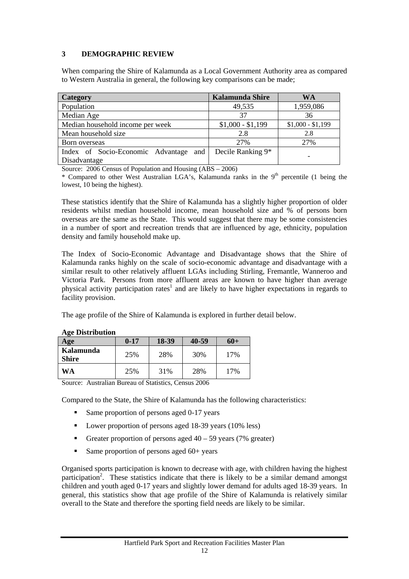# <span id="page-12-0"></span>**3 DEMOGRAPHIC REVIEW**

When comparing the Shire of Kalamunda as a Local Government Authority area as compared to Western Australia in general, the following key comparisons can be made;

| <b>Category</b>                       | <b>Kalamunda Shire</b> | WA                |
|---------------------------------------|------------------------|-------------------|
| Population                            | 49,535                 | 1,959,086         |
| Median Age                            | 37                     | 36                |
| Median household income per week      | $$1,000 - $1,199$      | $$1,000 - $1,199$ |
| Mean household size                   | 2.8                    | 2.8               |
| Born overseas                         | 27%                    | 27%               |
| Index of Socio-Economic Advantage and | Decile Ranking 9*      |                   |
| Disadvantage                          |                        | -                 |

Source: 2006 Census of Population and Housing (ABS – 2006)

\* Compared to other West Australian LGA's, Kalamunda ranks in the  $9<sup>th</sup>$  percentile (1 being the lowest, 10 being the highest).

These statistics identify that the Shire of Kalamunda has a slightly higher proportion of older residents whilst median household income, mean household size and % of persons born overseas are the same as the State. This would suggest that there may be some consistencies in a number of sport and recreation trends that are influenced by age, ethnicity, population density and family household make up.

The Index of Socio-Economic Advantage and Disadvantage shows that the Shire of Kalamunda ranks highly on the scale of socio-economic advantage and disadvantage with a similar result to other relatively affluent LGAs including Stirling, Fremantle, Wanneroo and Victoria Park. Persons from more affluent areas are known to have higher than average physical activity participation rates<sup>1</sup> and are likely to have higher expectations in regards to facility provision.

The age profile of the Shire of Kalamunda is explored in further detail below.

| Age                       | $0 - 17$ | 18-39 | 40-59 | 60+ |  |
|---------------------------|----------|-------|-------|-----|--|
| Kalamunda<br><b>Shire</b> | 25%      | 28%   | 30%   | 17% |  |
| <b>WA</b>                 | 25%      | 31%   | 28%   | 17% |  |

#### **Age Distribution**

Source: Australian Bureau of Statistics, Census 2006

Compared to the State, the Shire of Kalamunda has the following characteristics:

- Same proportion of persons aged 0-17 years
- Lower proportion of persons aged 18-39 years (10% less)
- Greater proportion of persons aged  $40 59$  years (7% greater)
- Same proportion of persons aged  $60+$  years

Organised sports participation is known to decrease with age, with children having the highest participation<sup>2</sup>. These statistics indicate that there is likely to be a similar demand amongst children and youth aged 0-17 years and slightly lower demand for adults aged 18-39 years. In general, this statistics show that age profile of the Shire of Kalamunda is relatively similar overall to the State and therefore the sporting field needs are likely to be similar.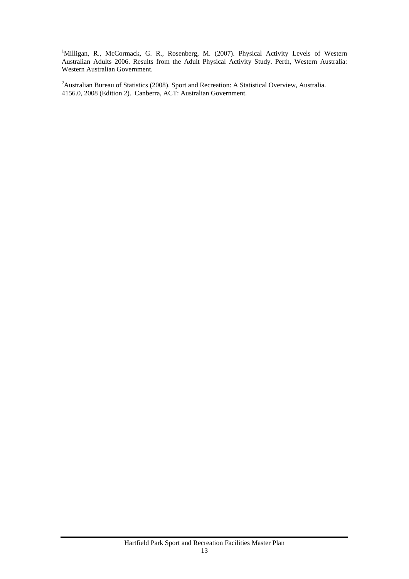<sup>1</sup>Milligan, R., McCormack, G. R., Rosenberg, M. (2007). Physical Activity Levels of Western Australian Adults 2006. Results from the Adult Physical Activity Study. Perth, Western Australia: Western Australian Government.

<sup>2</sup> Australian Bureau of Statistics (2008). Sport and Recreation: A Statistical Overview, Australia. 4156.0, 2008 (Edition 2). Canberra, ACT: Australian Government.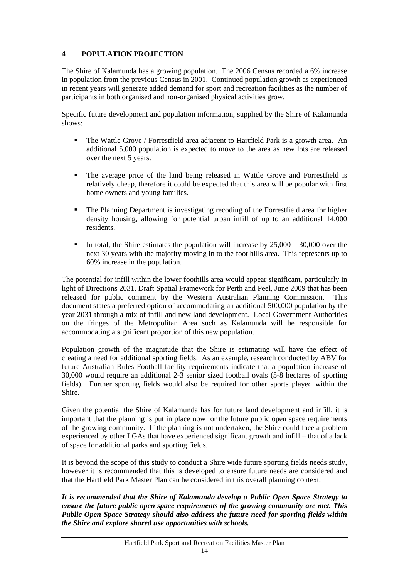# <span id="page-14-0"></span>**4 POPULATION PROJECTION**

The Shire of Kalamunda has a growing population. The 2006 Census recorded a 6% increase in population from the previous Census in 2001. Continued population growth as experienced in recent years will generate added demand for sport and recreation facilities as the number of participants in both organised and non-organised physical activities grow.

Specific future development and population information, supplied by the Shire of Kalamunda shows:

- The Wattle Grove / Forrestfield area adjacent to Hartfield Park is a growth area. An additional 5,000 population is expected to move to the area as new lots are released over the next 5 years.
- The average price of the land being released in Wattle Grove and Forrestfield is relatively cheap, therefore it could be expected that this area will be popular with first home owners and young families.
- The Planning Department is investigating recoding of the Forrestfield area for higher density housing, allowing for potential urban infill of up to an additional 14,000 residents.
- In total, the Shire estimates the population will increase by  $25,000 30,000$  over the next 30 years with the majority moving in to the foot hills area. This represents up to 60% increase in the population.

The potential for infill within the lower foothills area would appear significant, particularly in light of Directions 2031, Draft Spatial Framework for Perth and Peel, June 2009 that has been released for public comment by the Western Australian Planning Commission. This document states a preferred option of accommodating an additional 500,000 population by the year 2031 through a mix of infill and new land development. Local Government Authorities on the fringes of the Metropolitan Area such as Kalamunda will be responsible for accommodating a significant proportion of this new population.

Population growth of the magnitude that the Shire is estimating will have the effect of creating a need for additional sporting fields. As an example, research conducted by ABV for future Australian Rules Football facility requirements indicate that a population increase of 30,000 would require an additional 2-3 senior sized football ovals (5-8 hectares of sporting fields). Further sporting fields would also be required for other sports played within the Shire.

Given the potential the Shire of Kalamunda has for future land development and infill, it is important that the planning is put in place now for the future public open space requirements of the growing community. If the planning is not undertaken, the Shire could face a problem experienced by other LGAs that have experienced significant growth and infill – that of a lack of space for additional parks and sporting fields.

It is beyond the scope of this study to conduct a Shire wide future sporting fields needs study, however it is recommended that this is developed to ensure future needs are considered and that the Hartfield Park Master Plan can be considered in this overall planning context.

*It is recommended that the Shire of Kalamunda develop a Public Open Space Strategy to ensure the future public open space requirements of the growing community are met. This Public Open Space Strategy should also address the future need for sporting fields within the Shire and explore shared use opportunities with schools.*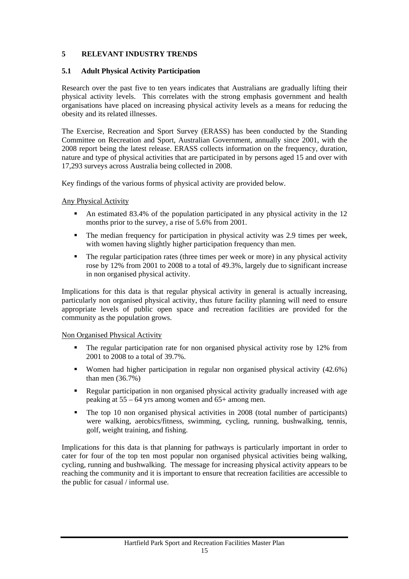# <span id="page-15-0"></span>**5 RELEVANT INDUSTRY TRENDS**

# <span id="page-15-1"></span>**5.1 Adult Physical Activity Participation**

Research over the past five to ten years indicates that Australians are gradually lifting their physical activity levels. This correlates with the strong emphasis government and health organisations have placed on increasing physical activity levels as a means for reducing the obesity and its related illnesses.

The Exercise, Recreation and Sport Survey (ERASS) has been conducted by the Standing Committee on Recreation and Sport, Australian Government, annually since 2001, with the 2008 report being the latest release. ERASS collects information on the frequency, duration, nature and type of physical activities that are participated in by persons aged 15 and over with 17,293 surveys across Australia being collected in 2008.

Key findings of the various forms of physical activity are provided below.

Any Physical Activity

- An estimated 83.4% of the population participated in any physical activity in the 12 months prior to the survey, a rise of 5.6% from 2001.
- The median frequency for participation in physical activity was 2.9 times per week, with women having slightly higher participation frequency than men.
- The regular participation rates (three times per week or more) in any physical activity rose by 12% from 2001 to 2008 to a total of 49.3%, largely due to significant increase in non organised physical activity.

Implications for this data is that regular physical activity in general is actually increasing, particularly non organised physical activity, thus future facility planning will need to ensure appropriate levels of public open space and recreation facilities are provided for the community as the population grows.

#### Non Organised Physical Activity

- The regular participation rate for non organised physical activity rose by 12% from 2001 to 2008 to a total of 39.7%.
- Women had higher participation in regular non organised physical activity (42.6%) than men (36.7%)
- Regular participation in non organised physical activity gradually increased with age peaking at 55 – 64 yrs among women and 65+ among men.
- The top 10 non organised physical activities in 2008 (total number of participants) were walking, aerobics/fitness, swimming, cycling, running, bushwalking, tennis, golf, weight training, and fishing.

Implications for this data is that planning for pathways is particularly important in order to cater for four of the top ten most popular non organised physical activities being walking, cycling, running and bushwalking. The message for increasing physical activity appears to be reaching the community and it is important to ensure that recreation facilities are accessible to the public for casual / informal use.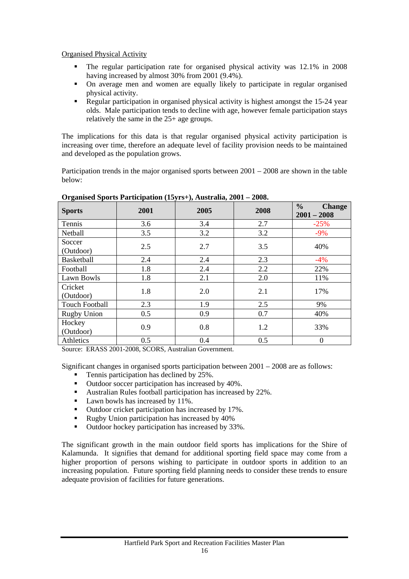Organised Physical Activity

- The regular participation rate for organised physical activity was 12.1% in 2008 having increased by almost 30% from 2001 (9.4%).
- On average men and women are equally likely to participate in regular organised physical activity.
- Regular participation in organised physical activity is highest amongst the 15-24 year olds. Male participation tends to decline with age, however female participation stays relatively the same in the 25+ age groups.

The implications for this data is that regular organised physical activity participation is increasing over time, therefore an adequate level of facility provision needs to be maintained and developed as the population grows.

Participation trends in the major organised sports between 2001 – 2008 are shown in the table below:

| <b>Sports</b>         | 2001 | 2005 | 2008 | $\frac{6}{6}$<br><b>Change</b><br>$2001 - 2008$ |  |  |  |
|-----------------------|------|------|------|-------------------------------------------------|--|--|--|
| Tennis                | 3.6  | 3.4  | 2.7  | $-25%$                                          |  |  |  |
| Netball               | 3.5  | 3.2  | 3.2  | $-9%$                                           |  |  |  |
| Soccer<br>(Outdoor)   | 2.5  | 2.7  | 3.5  | 40%                                             |  |  |  |
| <b>Basketball</b>     | 2.4  | 2.4  | 2.3  | $-4%$                                           |  |  |  |
| Football              | 1.8  | 2.4  | 2.2  | 22%                                             |  |  |  |
| Lawn Bowls            | 1.8  | 2.1  | 2.0  | 11%                                             |  |  |  |
| Cricket<br>(Outdoor)  | 1.8  | 2.0  | 2.1  | 17%                                             |  |  |  |
| <b>Touch Football</b> | 2.3  | 1.9  | 2.5  | 9%                                              |  |  |  |
| <b>Rugby Union</b>    | 0.5  | 0.9  | 0.7  | 40%                                             |  |  |  |
| Hockey<br>(Outdoor)   | 0.9  | 0.8  | 1.2  | 33%                                             |  |  |  |
| Athletics             | 0.5  | 0.4  | 0.5  | $\boldsymbol{0}$                                |  |  |  |

**Organised Sports Participation (15yrs+), Australia, 2001 – 2008.** 

Source: ERASS 2001-2008, SCORS, Australian Government.

Significant changes in organised sports participation between 2001 – 2008 are as follows:

- Tennis participation has declined by 25%.
- Outdoor soccer participation has increased by 40%.
- Australian Rules football participation has increased by 22%.
- Lawn bowls has increased by 11%.
- Outdoor cricket participation has increased by 17%.
- Rugby Union participation has increased by 40%
- Outdoor hockey participation has increased by 33%.

The significant growth in the main outdoor field sports has implications for the Shire of Kalamunda. It signifies that demand for additional sporting field space may come from a higher proportion of persons wishing to participate in outdoor sports in addition to an increasing population. Future sporting field planning needs to consider these trends to ensure adequate provision of facilities for future generations.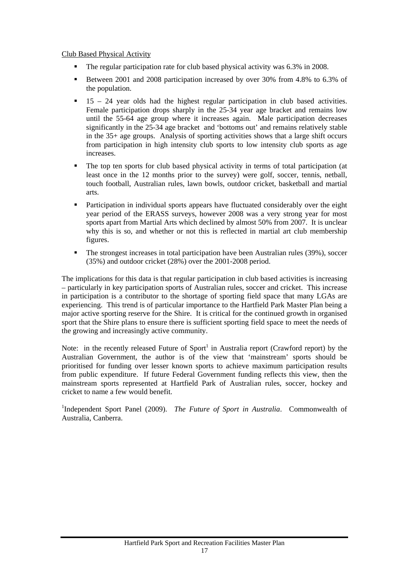## Club Based Physical Activity

- The regular participation rate for club based physical activity was 6.3% in 2008.
- Between 2001 and 2008 participation increased by over 30% from 4.8% to 6.3% of the population.
- 15 24 year olds had the highest regular participation in club based activities. Female participation drops sharply in the 25-34 year age bracket and remains low until the 55-64 age group where it increases again. Male participation decreases significantly in the 25-34 age bracket and 'bottoms out' and remains relatively stable in the 35+ age groups. Analysis of sporting activities shows that a large shift occurs from participation in high intensity club sports to low intensity club sports as age increases.
- The top ten sports for club based physical activity in terms of total participation (at least once in the 12 months prior to the survey) were golf, soccer, tennis, netball, touch football, Australian rules, lawn bowls, outdoor cricket, basketball and martial arts.
- Participation in individual sports appears have fluctuated considerably over the eight year period of the ERASS surveys, however 2008 was a very strong year for most sports apart from Martial Arts which declined by almost 50% from 2007. It is unclear why this is so, and whether or not this is reflected in martial art club membership figures.
- The strongest increases in total participation have been Australian rules (39%), soccer (35%) and outdoor cricket (28%) over the 2001-2008 period.

The implications for this data is that regular participation in club based activities is increasing – particularly in key participation sports of Australian rules, soccer and cricket. This increase in participation is a contributor to the shortage of sporting field space that many LGAs are experiencing. This trend is of particular importance to the Hartfield Park Master Plan being a major active sporting reserve for the Shire. It is critical for the continued growth in organised sport that the Shire plans to ensure there is sufficient sporting field space to meet the needs of the growing and increasingly active community.

Note: in the recently released Future of Sport<sup>1</sup> in Australia report (Crawford report) by the Australian Government, the author is of the view that 'mainstream' sports should be prioritised for funding over lesser known sports to achieve maximum participation results from public expenditure. If future Federal Government funding reflects this view, then the mainstream sports represented at Hartfield Park of Australian rules, soccer, hockey and cricket to name a few would benefit.

<sup>1</sup>Independent Sport Panel (2009). *The Future of Sport in Australia*. Commonwealth of Australia, Canberra.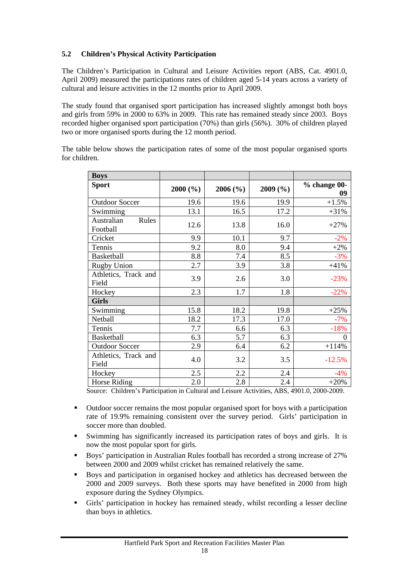# <span id="page-18-0"></span>**5.2 Children's Physical Activity Participation**

The Children's Participation in Cultural and Leisure Activities report (ABS, Cat. 4901.0, April 2009) measured the participations rates of children aged 5-14 years across a variety of cultural and leisure activities in the 12 months prior to April 2009.

The study found that organised sport participation has increased slightly amongst both boys and girls from 59% in 2000 to 63% in 2009. This rate has remained steady since 2003. Boys recorded higher organised sport participation (70%) than girls (56%). 30% of children played two or more organised sports during the 12 month period.

| <b>Boys</b>                     |                   |         |         |                    |
|---------------------------------|-------------------|---------|---------|--------------------|
| <b>Sport</b>                    | $2000(^{o}/_{o})$ | 2006(%) | 2009(%) | % change 00-<br>09 |
| <b>Outdoor Soccer</b>           | 19.6              | 19.6    | 19.9    | $+1.5%$            |
| Swimming                        | 13.1              | 16.5    | 17.2    | $+31%$             |
| Australian<br>Rules<br>Football | 12.6              | 13.8    | 16.0    | $+27%$             |
| Cricket                         | 9.9               | 10.1    | 9.7     | $-2%$              |
| Tennis                          | 9.2               | 8.0     | 9.4     | $+2%$              |
| <b>Basketball</b>               | 8.8               | 7.4     | 8.5     | $-3%$              |
| <b>Rugby Union</b>              | 2.7               | 3.9     | 3.8     | $+41%$             |
| Athletics, Track and<br>Field   | 3.9               | 2.6     | 3.0     | $-23%$             |
| Hockey                          | 2.3               | 1.7     | 1.8     | $-22%$             |
| <b>Girls</b>                    |                   |         |         |                    |
| Swimming                        | 15.8              | 18.2    | 19.8    | $+25%$             |
| Netball                         | 18.2              | 17.3    | 17.0    | $-7%$              |
| Tennis                          | 7.7               | 6.6     | 6.3     | $-18%$             |
| <b>Basketball</b>               | 6.3               | 5.7     | 6.3     | $\boldsymbol{0}$   |
| <b>Outdoor Soccer</b>           | 2.9               | 6.4     | 6.2     | $+114%$            |
| Athletics, Track and<br>Field   | 4.0               | 3.2     | 3.5     | $-12.5%$           |
| Hockey                          | 2.5               | 2.2     | 2.4     | $-4%$              |
| Horse Riding                    | 2.0               | 2.8     | 2.4     | $+20%$             |

The table below shows the participation rates of some of the most popular organised sports for children.

Source: Children's Participation in Cultural and Leisure Activities, ABS, 4901.0, 2000-2009.

- Outdoor soccer remains the most popular organised sport for boys with a participation rate of 19.9% remaining consistent over the survey period. Girls' participation in soccer more than doubled.
- Swimming has significantly increased its participation rates of boys and girls. It is now the most popular sport for girls.
- Boys' participation in Australian Rules football has recorded a strong increase of 27% between 2000 and 2009 whilst cricket has remained relatively the same.
- Boys and participation in organised hockey and athletics has decreased between the 2000 and 2009 surveys. Both these sports may have benefited in 2000 from high exposure during the Sydney Olympics.
- Girls' participation in hockey has remained steady, whilst recording a lesser decline than boys in athletics.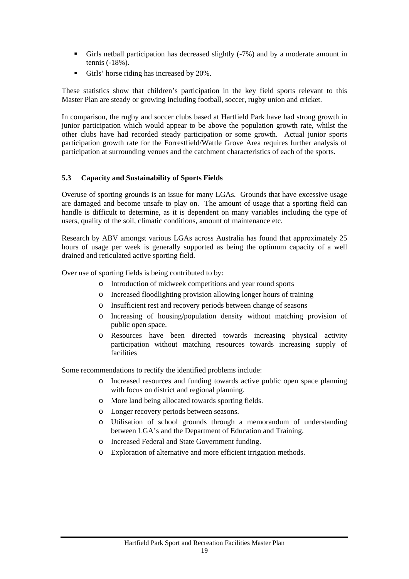- Girls netball participation has decreased slightly (-7%) and by a moderate amount in tennis (-18%).
- Girls' horse riding has increased by 20%.

These statistics show that children's participation in the key field sports relevant to this Master Plan are steady or growing including football, soccer, rugby union and cricket.

In comparison, the rugby and soccer clubs based at Hartfield Park have had strong growth in junior participation which would appear to be above the population growth rate, whilst the other clubs have had recorded steady participation or some growth. Actual junior sports participation growth rate for the Forrestfield/Wattle Grove Area requires further analysis of participation at surrounding venues and the catchment characteristics of each of the sports.

## <span id="page-19-0"></span>**5.3 Capacity and Sustainability of Sports Fields**

Overuse of sporting grounds is an issue for many LGAs. Grounds that have excessive usage are damaged and become unsafe to play on. The amount of usage that a sporting field can handle is difficult to determine, as it is dependent on many variables including the type of users, quality of the soil, climatic conditions, amount of maintenance etc.

Research by ABV amongst various LGAs across Australia has found that approximately 25 hours of usage per week is generally supported as being the optimum capacity of a well drained and reticulated active sporting field.

Over use of sporting fields is being contributed to by:

- o Introduction of midweek competitions and year round sports
- o Increased floodlighting provision allowing longer hours of training
- o Insufficient rest and recovery periods between change of seasons
- o Increasing of housing/population density without matching provision of public open space.
- o Resources have been directed towards increasing physical activity participation without matching resources towards increasing supply of facilities

Some recommendations to rectify the identified problems include:

- o Increased resources and funding towards active public open space planning with focus on district and regional planning.
- o More land being allocated towards sporting fields.
- o Longer recovery periods between seasons.
- o Utilisation of school grounds through a memorandum of understanding between LGA's and the Department of Education and Training.
- o Increased Federal and State Government funding.
- o Exploration of alternative and more efficient irrigation methods.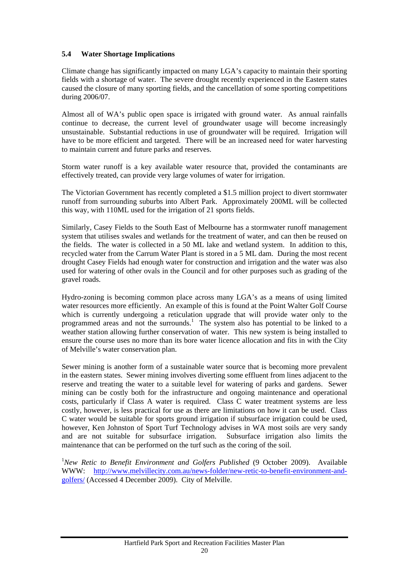# <span id="page-20-0"></span>**5.4 Water Shortage Implications**

Climate change has significantly impacted on many LGA's capacity to maintain their sporting fields with a shortage of water. The severe drought recently experienced in the Eastern states caused the closure of many sporting fields, and the cancellation of some sporting competitions during 2006/07.

Almost all of WA's public open space is irrigated with ground water. As annual rainfalls continue to decrease, the current level of groundwater usage will become increasingly unsustainable. Substantial reductions in use of groundwater will be required. Irrigation will have to be more efficient and targeted. There will be an increased need for water harvesting to maintain current and future parks and reserves.

Storm water runoff is a key available water resource that, provided the contaminants are effectively treated, can provide very large volumes of water for irrigation.

The Victorian Government has recently completed a \$1.5 million project to divert stormwater runoff from surrounding suburbs into Albert Park. Approximately 200ML will be collected this way, with 110ML used for the irrigation of 21 sports fields.

Similarly, Casey Fields to the South East of Melbourne has a stormwater runoff management system that utilises swales and wetlands for the treatment of water, and can then be reused on the fields. The water is collected in a 50 ML lake and wetland system. In addition to this, recycled water from the Carrum Water Plant is stored in a 5 ML dam. During the most recent drought Casey Fields had enough water for construction and irrigation and the water was also used for watering of other ovals in the Council and for other purposes such as grading of the gravel roads.

Hydro-zoning is becoming common place across many LGA's as a means of using limited water resources more efficiently. An example of this is found at the Point Walter Golf Course which is currently undergoing a reticulation upgrade that will provide water only to the programmed areas and not the surrounds.<sup>1</sup> The system also has potential to be linked to a weather station allowing further conservation of water. This new system is being installed to ensure the course uses no more than its bore water licence allocation and fits in with the City of Melville's water conservation plan.

Sewer mining is another form of a sustainable water source that is becoming more prevalent in the eastern states. Sewer mining involves diverting some effluent from lines adjacent to the reserve and treating the water to a suitable level for watering of parks and gardens. Sewer mining can be costly both for the infrastructure and ongoing maintenance and operational costs, particularly if Class A water is required. Class C water treatment systems are less costly, however, is less practical for use as there are limitations on how it can be used. Class C water would be suitable for sports ground irrigation if subsurface irrigation could be used, however, Ken Johnston of Sport Turf Technology advises in WA most soils are very sandy and are not suitable for subsurface irrigation. Subsurface irrigation also limits the maintenance that can be performed on the turf such as the coring of the soil.

<sup>1</sup>New Retic to Benefit Environment and Golfers Published (9 October 2009). Available WWW: http://www.melvillecity.com.au/news-folder/new-retic-to-benefit-environment-andgolfers/ (Accessed 4 December 2009). City of Melville.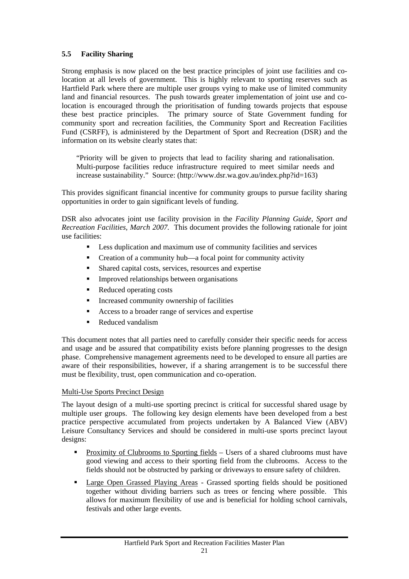# <span id="page-21-0"></span>**5.5 Facility Sharing**

Strong emphasis is now placed on the best practice principles of joint use facilities and colocation at all levels of government. This is highly relevant to sporting reserves such as Hartfield Park where there are multiple user groups vying to make use of limited community land and financial resources. The push towards greater implementation of joint use and colocation is encouraged through the prioritisation of funding towards projects that espouse these best practice principles. The primary source of State Government funding for community sport and recreation facilities, the Community Sport and Recreation Facilities Fund (CSRFF), is administered by the Department of Sport and Recreation (DSR) and the information on its website clearly states that:

"Priority will be given to projects that lead to facility sharing and rationalisation. Multi-purpose facilities reduce infrastructure required to meet similar needs and increase sustainability." Source: (http://www.dsr.wa.gov.au/index.php?id=163)

This provides significant financial incentive for community groups to pursue facility sharing opportunities in order to gain significant levels of funding.

DSR also advocates joint use facility provision in the *Facility Planning Guide, Sport and Recreation Facilities, March 2007.* This document provides the following rationale for joint use facilities:

- Less duplication and maximum use of community facilities and services
- Creation of a community hub—a focal point for community activity
- Shared capital costs, services, resources and expertise
- **IMPROVED 1** Improved relationships between organisations
- Reduced operating costs
- Increased community ownership of facilities
- Access to a broader range of services and expertise
- Reduced vandalism

This document notes that all parties need to carefully consider their specific needs for access and usage and be assured that compatibility exists before planning progresses to the design phase. Comprehensive management agreements need to be developed to ensure all parties are aware of their responsibilities, however, if a sharing arrangement is to be successful there must be flexibility, trust, open communication and co-operation.

# Multi-Use Sports Precinct Design

The layout design of a multi-use sporting precinct is critical for successful shared usage by multiple user groups. The following key design elements have been developed from a best practice perspective accumulated from projects undertaken by A Balanced View (ABV) Leisure Consultancy Services and should be considered in multi-use sports precinct layout designs:

- Proximity of Clubrooms to Sporting fields Users of a shared clubrooms must have good viewing and access to their sporting field from the clubrooms. Access to the fields should not be obstructed by parking or driveways to ensure safety of children.
- **Large Open Grassed Playing Areas Grassed sporting fields should be positioned** together without dividing barriers such as trees or fencing where possible. This allows for maximum flexibility of use and is beneficial for holding school carnivals, festivals and other large events.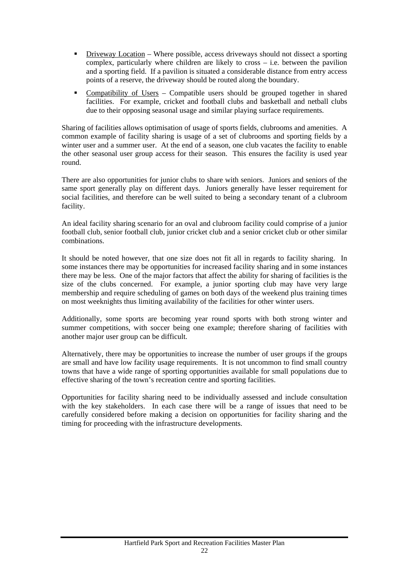- Driveway Location Where possible, access driveways should not dissect a sporting complex, particularly where children are likely to cross – i.e. between the pavilion and a sporting field. If a pavilion is situated a considerable distance from entry access points of a reserve, the driveway should be routed along the boundary.
- Compatibility of Users Compatible users should be grouped together in shared facilities. For example, cricket and football clubs and basketball and netball clubs due to their opposing seasonal usage and similar playing surface requirements.

Sharing of facilities allows optimisation of usage of sports fields, clubrooms and amenities. A common example of facility sharing is usage of a set of clubrooms and sporting fields by a winter user and a summer user. At the end of a season, one club vacates the facility to enable the other seasonal user group access for their season. This ensures the facility is used year round.

There are also opportunities for junior clubs to share with seniors. Juniors and seniors of the same sport generally play on different days. Juniors generally have lesser requirement for social facilities, and therefore can be well suited to being a secondary tenant of a clubroom facility.

An ideal facility sharing scenario for an oval and clubroom facility could comprise of a junior football club, senior football club, junior cricket club and a senior cricket club or other similar combinations.

It should be noted however, that one size does not fit all in regards to facility sharing. In some instances there may be opportunities for increased facility sharing and in some instances there may be less. One of the major factors that affect the ability for sharing of facilities is the size of the clubs concerned. For example, a junior sporting club may have very large membership and require scheduling of games on both days of the weekend plus training times on most weeknights thus limiting availability of the facilities for other winter users.

Additionally, some sports are becoming year round sports with both strong winter and summer competitions, with soccer being one example; therefore sharing of facilities with another major user group can be difficult.

Alternatively, there may be opportunities to increase the number of user groups if the groups are small and have low facility usage requirements. It is not uncommon to find small country towns that have a wide range of sporting opportunities available for small populations due to effective sharing of the town's recreation centre and sporting facilities.

Opportunities for facility sharing need to be individually assessed and include consultation with the key stakeholders. In each case there will be a range of issues that need to be carefully considered before making a decision on opportunities for facility sharing and the timing for proceeding with the infrastructure developments.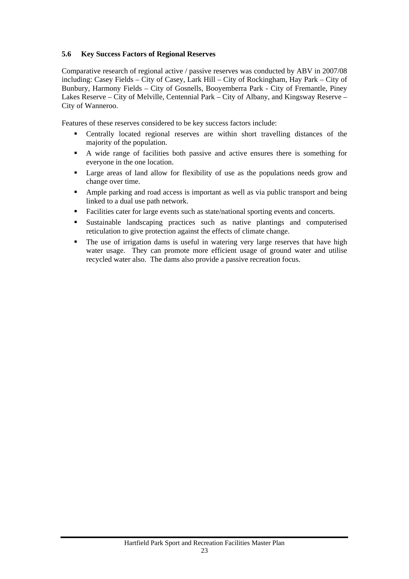# <span id="page-23-0"></span>**5.6 Key Success Factors of Regional Reserves**

Comparative research of regional active / passive reserves was conducted by ABV in 2007/08 including: Casey Fields – City of Casey, Lark Hill – City of Rockingham, Hay Park – City of Bunbury, Harmony Fields – City of Gosnells, Booyemberra Park - City of Fremantle, Piney Lakes Reserve – City of Melville, Centennial Park – City of Albany, and Kingsway Reserve – City of Wanneroo.

Features of these reserves considered to be key success factors include:

- Centrally located regional reserves are within short travelling distances of the majority of the population.
- A wide range of facilities both passive and active ensures there is something for everyone in the one location.
- Large areas of land allow for flexibility of use as the populations needs grow and change over time.
- Ample parking and road access is important as well as via public transport and being linked to a dual use path network.
- Facilities cater for large events such as state/national sporting events and concerts.
- Sustainable landscaping practices such as native plantings and computerised reticulation to give protection against the effects of climate change.
- The use of irrigation dams is useful in watering very large reserves that have high water usage. They can promote more efficient usage of ground water and utilise recycled water also. The dams also provide a passive recreation focus.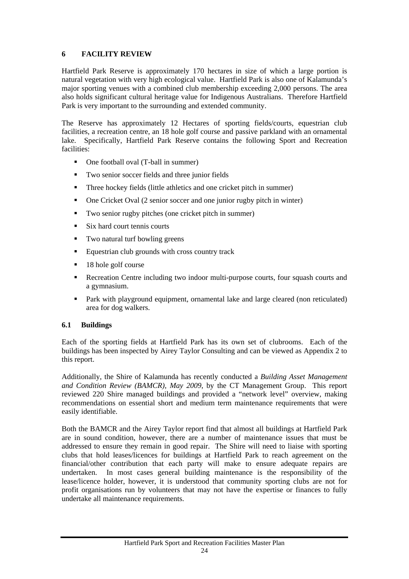# <span id="page-24-0"></span>**6 FACILITY REVIEW**

Hartfield Park Reserve is approximately 170 hectares in size of which a large portion is natural vegetation with very high ecological value. Hartfield Park is also one of Kalamunda's major sporting venues with a combined club membership exceeding 2,000 persons. The area also holds significant cultural heritage value for Indigenous Australians. Therefore Hartfield Park is very important to the surrounding and extended community.

The Reserve has approximately 12 Hectares of sporting fields/courts, equestrian club facilities, a recreation centre, an 18 hole golf course and passive parkland with an ornamental lake. Specifically, Hartfield Park Reserve contains the following Sport and Recreation facilities:

- One football oval (T-ball in summer)
- Two senior soccer fields and three junior fields
- Three hockey fields (little athletics and one cricket pitch in summer)
- One Cricket Oval (2 senior soccer and one junior rugby pitch in winter)
- Two senior rugby pitches (one cricket pitch in summer)
- Six hard court tennis courts
- Two natural turf bowling greens
- Equestrian club grounds with cross country track
- 18 hole golf course
- Recreation Centre including two indoor multi-purpose courts, four squash courts and a gymnasium.
- Park with playground equipment, ornamental lake and large cleared (non reticulated) area for dog walkers.

# <span id="page-24-1"></span>**6.1 Buildings**

Each of the sporting fields at Hartfield Park has its own set of clubrooms. Each of the buildings has been inspected by Airey Taylor Consulting and can be viewed as Appendix 2 to this report.

Additionally, the Shire of Kalamunda has recently conducted a *Building Asset Management and Condition Review (BAMCR), May 2009*, by the CT Management Group. This report reviewed 220 Shire managed buildings and provided a "network level" overview, making recommendations on essential short and medium term maintenance requirements that were easily identifiable.

Both the BAMCR and the Airey Taylor report find that almost all buildings at Hartfield Park are in sound condition, however, there are a number of maintenance issues that must be addressed to ensure they remain in good repair. The Shire will need to liaise with sporting clubs that hold leases/licences for buildings at Hartfield Park to reach agreement on the financial/other contribution that each party will make to ensure adequate repairs are undertaken. In most cases general building maintenance is the responsibility of the lease/licence holder, however, it is understood that community sporting clubs are not for profit organisations run by volunteers that may not have the expertise or finances to fully undertake all maintenance requirements.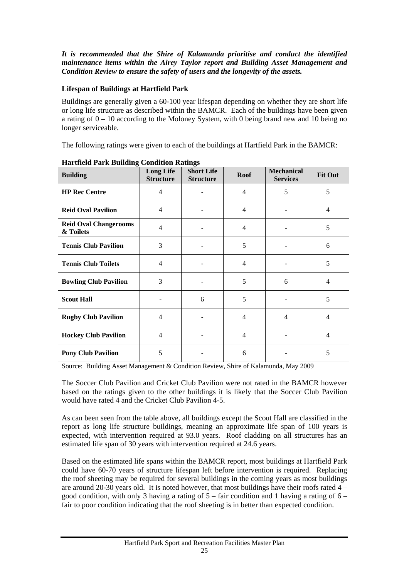*It is recommended that the Shire of Kalamunda prioritise and conduct the identified maintenance items within the Airey Taylor report and Building Asset Management and Condition Review to ensure the safety of users and the longevity of the assets.* 

# **Lifespan of Buildings at Hartfield Park**

Buildings are generally given a 60-100 year lifespan depending on whether they are short life or long life structure as described within the BAMCR. Each of the buildings have been given a rating of 0 – 10 according to the Moloney System, with 0 being brand new and 10 being no longer serviceable.

The following ratings were given to each of the buildings at Hartfield Park in the BAMCR:

| ៝<br><b>Building</b>                      | <b>Long Life</b><br><b>Structure</b> | ō<br><b>Short Life</b><br><b>Structure</b> | <b>Roof</b>    | <b>Mechanical</b><br><b>Services</b> | <b>Fit Out</b> |
|-------------------------------------------|--------------------------------------|--------------------------------------------|----------------|--------------------------------------|----------------|
| <b>HP Rec Centre</b>                      | $\overline{4}$                       |                                            | $\overline{4}$ | 5                                    | 5              |
| <b>Reid Oval Pavilion</b>                 | $\overline{4}$                       |                                            | $\overline{4}$ |                                      | 4              |
| <b>Reid Oval Changerooms</b><br>& Toilets | $\overline{4}$                       |                                            | $\overline{4}$ |                                      | 5              |
| <b>Tennis Club Pavilion</b>               | 3                                    |                                            | 5              |                                      | 6              |
| <b>Tennis Club Toilets</b>                | $\overline{4}$                       |                                            | 4              |                                      | 5              |
| <b>Bowling Club Pavilion</b>              | 3                                    |                                            | 5              | 6                                    | 4              |
| <b>Scout Hall</b>                         |                                      | 6                                          | 5              |                                      | 5              |
| <b>Rugby Club Pavilion</b>                | $\overline{4}$                       |                                            | $\overline{4}$ | 4                                    | 4              |
| <b>Hockey Club Pavilion</b>               | $\overline{4}$                       |                                            | $\overline{4}$ |                                      | 4              |
| <b>Pony Club Pavilion</b>                 | 5                                    |                                            | 6              |                                      | 5              |

**Hartfield Park Building Condition Ratings**

Source: Building Asset Management & Condition Review, Shire of Kalamunda, May 2009

The Soccer Club Pavilion and Cricket Club Pavilion were not rated in the BAMCR however based on the ratings given to the other buildings it is likely that the Soccer Club Pavilion would have rated 4 and the Cricket Club Pavilion 4-5.

As can been seen from the table above, all buildings except the Scout Hall are classified in the report as long life structure buildings, meaning an approximate life span of 100 years is expected, with intervention required at 93.0 years. Roof cladding on all structures has an estimated life span of 30 years with intervention required at 24.6 years.

Based on the estimated life spans within the BAMCR report, most buildings at Hartfield Park could have 60-70 years of structure lifespan left before intervention is required. Replacing the roof sheeting may be required for several buildings in the coming years as most buildings are around 20-30 years old. It is noted however, that most buildings have their roofs rated 4 – good condition, with only 3 having a rating of  $5 -$  fair condition and 1 having a rating of  $6$ fair to poor condition indicating that the roof sheeting is in better than expected condition.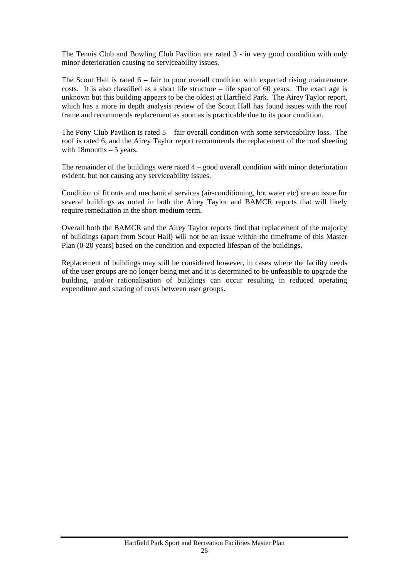The Tennis Club and Bowling Club Pavilion are rated 3 - in very good condition with only minor deterioration causing no serviceability issues.

The Scout Hall is rated  $6 - \text{fair to poor overall condition with expected rising maintenance}$ costs. It is also classified as a short life structure – life span of 60 years. The exact age is unknown but this building appears to be the oldest at Hartfield Park. The Airey Taylor report, which has a more in depth analysis review of the Scout Hall has found issues with the roof frame and recommends replacement as soon as is practicable due to its poor condition.

The Pony Club Pavilion is rated 5 – fair overall condition with some serviceability loss. The roof is rated 6, and the Airey Taylor report recommends the replacement of the roof sheeting with  $18$ months  $-5$  years.

The remainder of the buildings were rated 4 – good overall condition with minor deterioration evident, but not causing any serviceability issues.

Condition of fit outs and mechanical services (air-conditioning, hot water etc) are an issue for several buildings as noted in both the Airey Taylor and BAMCR reports that will likely require remediation in the short-medium term.

Overall both the BAMCR and the Airey Taylor reports find that replacement of the majority of buildings (apart from Scout Hall) will not be an issue within the timeframe of this Master Plan (0-20 years) based on the condition and expected lifespan of the buildings.

Replacement of buildings may still be considered however, in cases where the facility needs of the user groups are no longer being met and it is determined to be unfeasible to upgrade the building, and/or rationalisation of buildings can occur resulting in reduced operating expenditure and sharing of costs between user groups.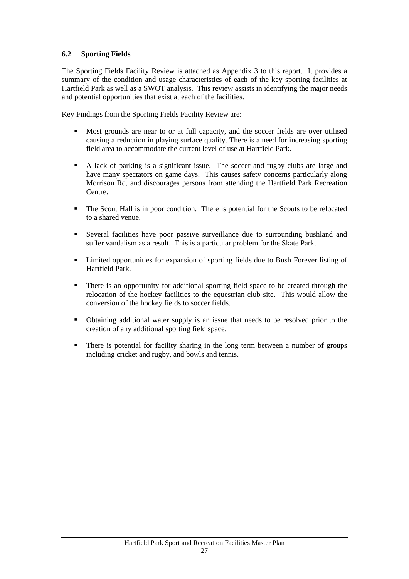# <span id="page-27-0"></span>**6.2 Sporting Fields**

The Sporting Fields Facility Review is attached as Appendix 3 to this report. It provides a summary of the condition and usage characteristics of each of the key sporting facilities at Hartfield Park as well as a SWOT analysis. This review assists in identifying the major needs and potential opportunities that exist at each of the facilities.

Key Findings from the Sporting Fields Facility Review are:

- Most grounds are near to or at full capacity, and the soccer fields are over utilised causing a reduction in playing surface quality. There is a need for increasing sporting field area to accommodate the current level of use at Hartfield Park.
- A lack of parking is a significant issue. The soccer and rugby clubs are large and have many spectators on game days. This causes safety concerns particularly along Morrison Rd, and discourages persons from attending the Hartfield Park Recreation Centre.
- The Scout Hall is in poor condition. There is potential for the Scouts to be relocated to a shared venue.
- Several facilities have poor passive surveillance due to surrounding bushland and suffer vandalism as a result. This is a particular problem for the Skate Park.
- Limited opportunities for expansion of sporting fields due to Bush Forever listing of Hartfield Park.
- There is an opportunity for additional sporting field space to be created through the relocation of the hockey facilities to the equestrian club site. This would allow the conversion of the hockey fields to soccer fields.
- Obtaining additional water supply is an issue that needs to be resolved prior to the creation of any additional sporting field space.
- There is potential for facility sharing in the long term between a number of groups including cricket and rugby, and bowls and tennis.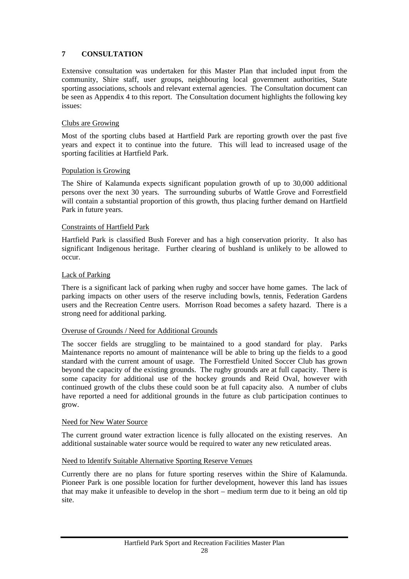# <span id="page-28-0"></span>**7 CONSULTATION**

Extensive consultation was undertaken for this Master Plan that included input from the community, Shire staff, user groups, neighbouring local government authorities, State sporting associations, schools and relevant external agencies. The Consultation document can be seen as Appendix 4 to this report. The Consultation document highlights the following key issues:

# Clubs are Growing

Most of the sporting clubs based at Hartfield Park are reporting growth over the past five years and expect it to continue into the future. This will lead to increased usage of the sporting facilities at Hartfield Park.

## Population is Growing

The Shire of Kalamunda expects significant population growth of up to 30,000 additional persons over the next 30 years. The surrounding suburbs of Wattle Grove and Forrestfield will contain a substantial proportion of this growth, thus placing further demand on Hartfield Park in future years.

## Constraints of Hartfield Park

Hartfield Park is classified Bush Forever and has a high conservation priority. It also has significant Indigenous heritage. Further clearing of bushland is unlikely to be allowed to occur.

## Lack of Parking

There is a significant lack of parking when rugby and soccer have home games. The lack of parking impacts on other users of the reserve including bowls, tennis, Federation Gardens users and the Recreation Centre users. Morrison Road becomes a safety hazard. There is a strong need for additional parking.

#### Overuse of Grounds / Need for Additional Grounds

The soccer fields are struggling to be maintained to a good standard for play. Parks Maintenance reports no amount of maintenance will be able to bring up the fields to a good standard with the current amount of usage. The Forrestfield United Soccer Club has grown beyond the capacity of the existing grounds. The rugby grounds are at full capacity. There is some capacity for additional use of the hockey grounds and Reid Oval, however with continued growth of the clubs these could soon be at full capacity also. A number of clubs have reported a need for additional grounds in the future as club participation continues to grow.

#### Need for New Water Source

The current ground water extraction licence is fully allocated on the existing reserves. An additional sustainable water source would be required to water any new reticulated areas.

# Need to Identify Suitable Alternative Sporting Reserve Venues

Currently there are no plans for future sporting reserves within the Shire of Kalamunda. Pioneer Park is one possible location for further development, however this land has issues that may make it unfeasible to develop in the short – medium term due to it being an old tip site.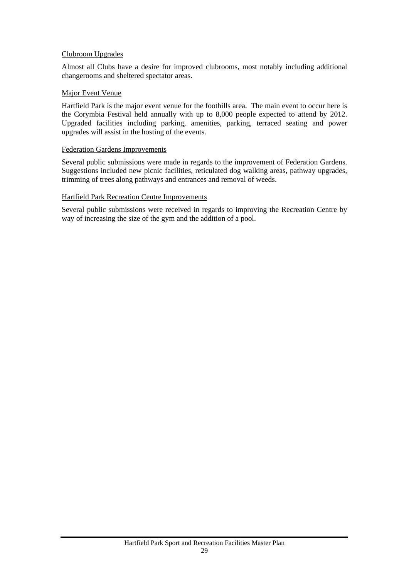## Clubroom Upgrades

Almost all Clubs have a desire for improved clubrooms, most notably including additional changerooms and sheltered spectator areas.

## Major Event Venue

Hartfield Park is the major event venue for the foothills area. The main event to occur here is the Corymbia Festival held annually with up to 8,000 people expected to attend by 2012. Upgraded facilities including parking, amenities, parking, terraced seating and power upgrades will assist in the hosting of the events.

#### Federation Gardens Improvements

Several public submissions were made in regards to the improvement of Federation Gardens. Suggestions included new picnic facilities, reticulated dog walking areas, pathway upgrades, trimming of trees along pathways and entrances and removal of weeds.

## Hartfield Park Recreation Centre Improvements

Several public submissions were received in regards to improving the Recreation Centre by way of increasing the size of the gym and the addition of a pool.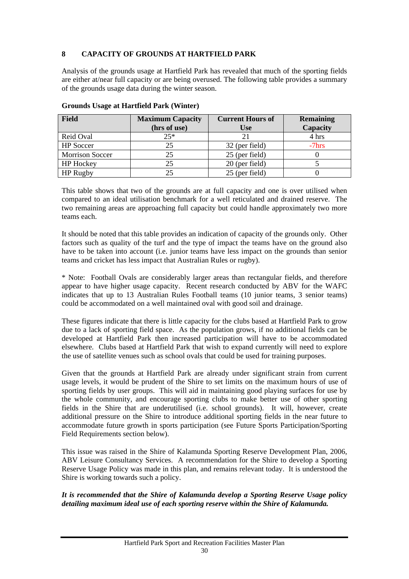# <span id="page-30-0"></span>**8 CAPACITY OF GROUNDS AT HARTFIELD PARK**

Analysis of the grounds usage at Hartfield Park has revealed that much of the sporting fields are either at/near full capacity or are being overused. The following table provides a summary of the grounds usage data during the winter season.

| Field                  | <b>Maximum Capacity</b> | <b>Current Hours of</b> | <b>Remaining</b> |
|------------------------|-------------------------|-------------------------|------------------|
|                        | (hrs of use)            | <b>Use</b>              | Capacity         |
| Reid Oval              | $25*$                   |                         | 4 hrs            |
| <b>HP</b> Soccer       | 25                      | 32 (per field)          | $-7$ hrs         |
| <b>Morrison Soccer</b> | 25                      | 25 (per field)          |                  |
| <b>HP</b> Hockey       | 25                      | 20 (per field)          |                  |
| HP Rugby               | 25                      | 25 (per field)          |                  |

## **Grounds Usage at Hartfield Park (Winter)**

This table shows that two of the grounds are at full capacity and one is over utilised when compared to an ideal utilisation benchmark for a well reticulated and drained reserve. The two remaining areas are approaching full capacity but could handle approximately two more teams each.

It should be noted that this table provides an indication of capacity of the grounds only. Other factors such as quality of the turf and the type of impact the teams have on the ground also have to be taken into account (i.e. junior teams have less impact on the grounds than senior teams and cricket has less impact that Australian Rules or rugby).

\* Note: Football Ovals are considerably larger areas than rectangular fields, and therefore appear to have higher usage capacity. Recent research conducted by ABV for the WAFC indicates that up to 13 Australian Rules Football teams (10 junior teams, 3 senior teams) could be accommodated on a well maintained oval with good soil and drainage.

These figures indicate that there is little capacity for the clubs based at Hartfield Park to grow due to a lack of sporting field space. As the population grows, if no additional fields can be developed at Hartfield Park then increased participation will have to be accommodated elsewhere. Clubs based at Hartfield Park that wish to expand currently will need to explore the use of satellite venues such as school ovals that could be used for training purposes.

Given that the grounds at Hartfield Park are already under significant strain from current usage levels, it would be prudent of the Shire to set limits on the maximum hours of use of sporting fields by user groups. This will aid in maintaining good playing surfaces for use by the whole community, and encourage sporting clubs to make better use of other sporting fields in the Shire that are underutilised (i.e. school grounds). It will, however, create additional pressure on the Shire to introduce additional sporting fields in the near future to accommodate future growth in sports participation (see Future Sports Participation/Sporting Field Requirements section below).

This issue was raised in the Shire of Kalamunda Sporting Reserve Development Plan, 2006, ABV Leisure Consultancy Services. A recommendation for the Shire to develop a Sporting Reserve Usage Policy was made in this plan, and remains relevant today. It is understood the Shire is working towards such a policy.

## *It is recommended that the Shire of Kalamunda develop a Sporting Reserve Usage policy detailing maximum ideal use of each sporting reserve within the Shire of Kalamunda.*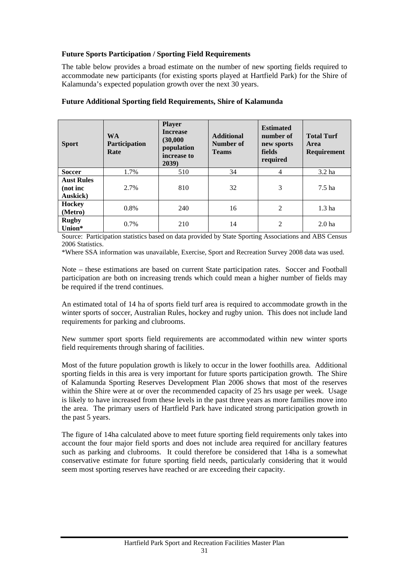# **Future Sports Participation / Sporting Field Requirements**

The table below provides a broad estimate on the number of new sporting fields required to accommodate new participants (for existing sports played at Hartfield Park) for the Shire of Kalamunda's expected population growth over the next 30 years.

| <b>Sport</b>                                      | <b>WA</b><br>Participation<br>Rate | <b>Player</b><br><b>Increase</b><br>(30,000)<br>population<br>increase to<br>2039) | <b>Additional</b><br>Number of<br><b>Teams</b> | <b>Estimated</b><br>number of<br>new sports<br>fields<br>required | <b>Total Turf</b><br>Area<br>Requirement |
|---------------------------------------------------|------------------------------------|------------------------------------------------------------------------------------|------------------------------------------------|-------------------------------------------------------------------|------------------------------------------|
| <b>Soccer</b>                                     | 1.7%                               | 510                                                                                | 34                                             | $\overline{4}$                                                    | 3.2 <sub>ha</sub>                        |
| <b>Aust Rules</b><br>(not inc<br><b>Auskick</b> ) | 2.7%                               | 810                                                                                | 32                                             | 3                                                                 | 7.5 <sub>ha</sub>                        |
| Hockey<br>(Metro)                                 | $0.8\%$                            | 240                                                                                | 16                                             | $\overline{2}$                                                    | 1.3 <sub>ha</sub>                        |
| <b>Rugby</b><br>Union*                            | $0.7\%$                            | 210                                                                                | 14                                             | $\overline{2}$                                                    | 2.0 <sub>ha</sub>                        |

# **Future Additional Sporting field Requirements, Shire of Kalamunda**

Source: Participation statistics based on data provided by State Sporting Associations and ABS Census 2006 Statistics.

\*Where SSA information was unavailable, Exercise, Sport and Recreation Survey 2008 data was used.

Note – these estimations are based on current State participation rates. Soccer and Football participation are both on increasing trends which could mean a higher number of fields may be required if the trend continues.

An estimated total of 14 ha of sports field turf area is required to accommodate growth in the winter sports of soccer, Australian Rules, hockey and rugby union. This does not include land requirements for parking and clubrooms.

New summer sport sports field requirements are accommodated within new winter sports field requirements through sharing of facilities.

Most of the future population growth is likely to occur in the lower foothills area. Additional sporting fields in this area is very important for future sports participation growth. The Shire of Kalamunda Sporting Reserves Development Plan 2006 shows that most of the reserves within the Shire were at or over the recommended capacity of 25 hrs usage per week. Usage is likely to have increased from these levels in the past three years as more families move into the area. The primary users of Hartfield Park have indicated strong participation growth in the past 5 years.

The figure of 14ha calculated above to meet future sporting field requirements only takes into account the four major field sports and does not include area required for ancillary features such as parking and clubrooms. It could therefore be considered that 14ha is a somewhat conservative estimate for future sporting field needs, particularly considering that it would seem most sporting reserves have reached or are exceeding their capacity.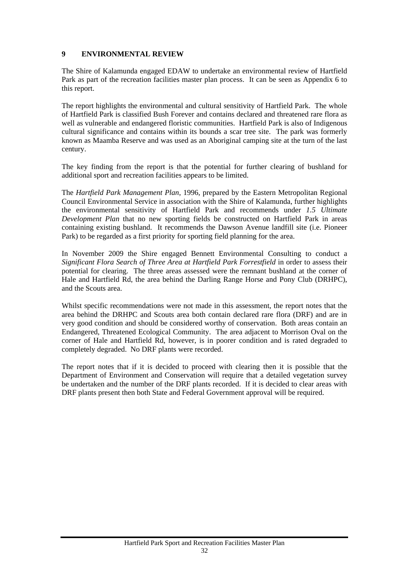# <span id="page-32-0"></span>**9 ENVIRONMENTAL REVIEW**

The Shire of Kalamunda engaged EDAW to undertake an environmental review of Hartfield Park as part of the recreation facilities master plan process. It can be seen as Appendix 6 to this report.

The report highlights the environmental and cultural sensitivity of Hartfield Park. The whole of Hartfield Park is classified Bush Forever and contains declared and threatened rare flora as well as vulnerable and endangered floristic communities. Hartfield Park is also of Indigenous cultural significance and contains within its bounds a scar tree site. The park was formerly known as Maamba Reserve and was used as an Aboriginal camping site at the turn of the last century.

The key finding from the report is that the potential for further clearing of bushland for additional sport and recreation facilities appears to be limited.

The *Hartfield Park Management Plan*, 1996, prepared by the Eastern Metropolitan Regional Council Environmental Service in association with the Shire of Kalamunda, further highlights the environmental sensitivity of Hartfield Park and recommends under *1.5 Ultimate Development Plan* that no new sporting fields be constructed on Hartfield Park in areas containing existing bushland. It recommends the Dawson Avenue landfill site (i.e. Pioneer Park) to be regarded as a first priority for sporting field planning for the area.

In November 2009 the Shire engaged Bennett Environmental Consulting to conduct a *Significant Flora Search of Three Area at Hartfield Park Forrestfield* in order to assess their potential for clearing. The three areas assessed were the remnant bushland at the corner of Hale and Hartfield Rd, the area behind the Darling Range Horse and Pony Club (DRHPC), and the Scouts area.

Whilst specific recommendations were not made in this assessment, the report notes that the area behind the DRHPC and Scouts area both contain declared rare flora (DRF) and are in very good condition and should be considered worthy of conservation. Both areas contain an Endangered, Threatened Ecological Community. The area adjacent to Morrison Oval on the corner of Hale and Hartfield Rd, however, is in poorer condition and is rated degraded to completely degraded. No DRF plants were recorded.

The report notes that if it is decided to proceed with clearing then it is possible that the Department of Environment and Conservation will require that a detailed vegetation survey be undertaken and the number of the DRF plants recorded. If it is decided to clear areas with DRF plants present then both State and Federal Government approval will be required.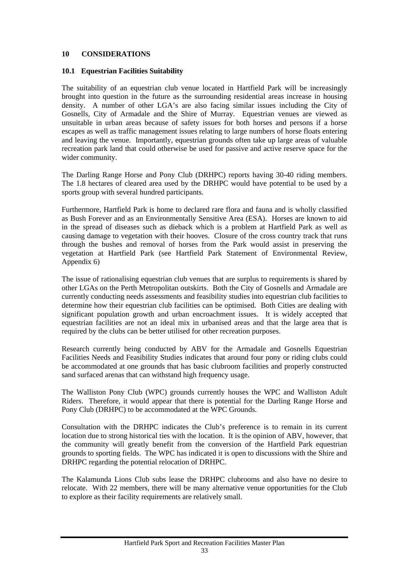# <span id="page-33-0"></span>**10 CONSIDERATIONS**

#### <span id="page-33-1"></span>**10.1 Equestrian Facilities Suitability**

The suitability of an equestrian club venue located in Hartfield Park will be increasingly brought into question in the future as the surrounding residential areas increase in housing density. A number of other LGA's are also facing similar issues including the City of Gosnells, City of Armadale and the Shire of Murray. Equestrian venues are viewed as unsuitable in urban areas because of safety issues for both horses and persons if a horse escapes as well as traffic management issues relating to large numbers of horse floats entering and leaving the venue. Importantly, equestrian grounds often take up large areas of valuable recreation park land that could otherwise be used for passive and active reserve space for the wider community.

The Darling Range Horse and Pony Club (DRHPC) reports having 30-40 riding members. The 1.8 hectares of cleared area used by the DRHPC would have potential to be used by a sports group with several hundred participants.

Furthermore, Hartfield Park is home to declared rare flora and fauna and is wholly classified as Bush Forever and as an Environmentally Sensitive Area (ESA). Horses are known to aid in the spread of diseases such as dieback which is a problem at Hartfield Park as well as causing damage to vegetation with their hooves. Closure of the cross country track that runs through the bushes and removal of horses from the Park would assist in preserving the vegetation at Hartfield Park (see Hartfield Park Statement of Environmental Review, Appendix 6)

The issue of rationalising equestrian club venues that are surplus to requirements is shared by other LGAs on the Perth Metropolitan outskirts. Both the City of Gosnells and Armadale are currently conducting needs assessments and feasibility studies into equestrian club facilities to determine how their equestrian club facilities can be optimised. Both Cities are dealing with significant population growth and urban encroachment issues. It is widely accepted that equestrian facilities are not an ideal mix in urbanised areas and that the large area that is required by the clubs can be better utilised for other recreation purposes.

Research currently being conducted by ABV for the Armadale and Gosnells Equestrian Facilities Needs and Feasibility Studies indicates that around four pony or riding clubs could be accommodated at one grounds that has basic clubroom facilities and properly constructed sand surfaced arenas that can withstand high frequency usage.

The Walliston Pony Club (WPC) grounds currently houses the WPC and Walliston Adult Riders. Therefore, it would appear that there is potential for the Darling Range Horse and Pony Club (DRHPC) to be accommodated at the WPC Grounds.

Consultation with the DRHPC indicates the Club's preference is to remain in its current location due to strong historical ties with the location. It is the opinion of ABV, however, that the community will greatly benefit from the conversion of the Hartfield Park equestrian grounds to sporting fields. The WPC has indicated it is open to discussions with the Shire and DRHPC regarding the potential relocation of DRHPC.

The Kalamunda Lions Club subs lease the DRHPC clubrooms and also have no desire to relocate. With 22 members, there will be many alternative venue opportunities for the Club to explore as their facility requirements are relatively small.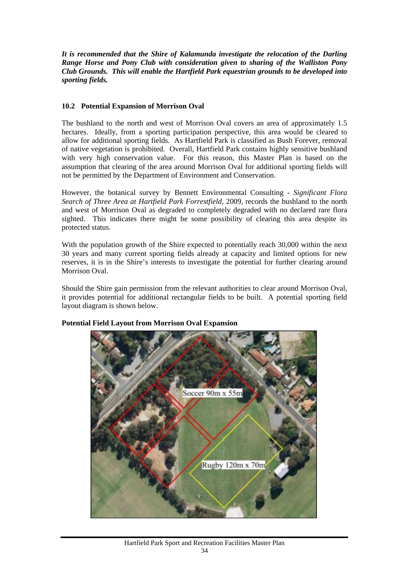*It is recommended that the Shire of Kalamunda investigate the relocation of the Darling Range Horse and Pony Club with consideration given to sharing of the Walliston Pony Club Grounds. This will enable the Hartfield Park equestrian grounds to be developed into sporting fields.* 

# <span id="page-34-0"></span>**10.2 Potential Expansion of Morrison Oval**

The bushland to the north and west of Morrison Oval covers an area of approximately 1.5 hectares. Ideally, from a sporting participation perspective, this area would be cleared to allow for additional sporting fields. As Hartfield Park is classified as Bush Forever, removal of native vegetation is prohibited. Overall, Hartfield Park contains highly sensitive bushland with very high conservation value. For this reason, this Master Plan is based on the assumption that clearing of the area around Morrison Oval for additional sporting fields will not be permitted by the Department of Environment and Conservation.

However, the botanical survey by Bennett Environmental Consulting - *Significant Flora Search of Three Area at Hartfield Park Forrestfield,* 2009, records the bushland to the north and west of Morrison Oval as degraded to completely degraded with no declared rare flora sighted. This indicates there might be some possibility of clearing this area despite its protected status.

With the population growth of the Shire expected to potentially reach 30,000 within the next 30 years and many current sporting fields already at capacity and limited options for new reserves, it is in the Shire's interests to investigate the potential for further clearing around Morrison Oval.

Should the Shire gain permission from the relevant authorities to clear around Morrison Oval, it provides potential for additional rectangular fields to be built. A potential sporting field layout diagram is shown below.



# **Potential Field Layout from Morrison Oval Expansion**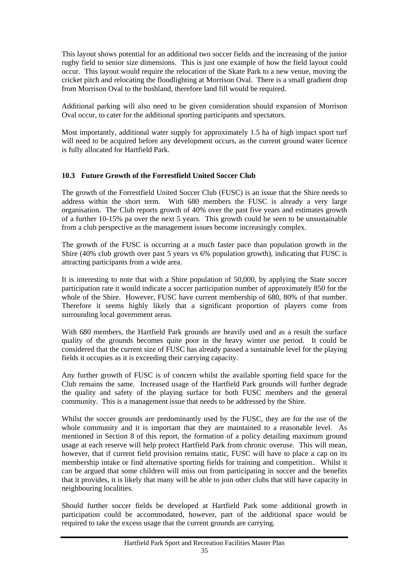This layout shows potential for an additional two soccer fields and the increasing of the junior rugby field to senior size dimensions. This is just one example of how the field layout could occur. This layout would require the relocation of the Skate Park to a new venue, moving the cricket pitch and relocating the floodlighting at Morrison Oval. There is a small gradient drop from Morrison Oval to the bushland, therefore land fill would be required.

Additional parking will also need to be given consideration should expansion of Morrison Oval occur, to cater for the additional sporting participants and spectators.

Most importantly, additional water supply for approximately 1.5 ha of high impact sport turf will need to be acquired before any development occurs, as the current ground water licence is fully allocated for Hartfield Park.

# <span id="page-35-0"></span>**10.3 Future Growth of the Forrestfield United Soccer Club**

The growth of the Forrestfield United Soccer Club (FUSC) is an issue that the Shire needs to address within the short term. With 680 members the FUSC is already a very large organisation. The Club reports growth of 40% over the past five years and estimates growth of a further 10-15% pa over the next 5 years. This growth could be seen to be unsustainable from a club perspective as the management issues become increasingly complex.

The growth of the FUSC is occurring at a much faster pace than population growth in the Shire (40% club growth over past 5 years vs 6% population growth), indicating that FUSC is attracting participants from a wide area.

It is interesting to note that with a Shire population of 50,000, by applying the State soccer participation rate it would indicate a soccer participation number of approximately 850 for the whole of the Shire. However, FUSC have current membership of 680, 80% of that number. Therefore it seems highly likely that a significant proportion of players come from surrounding local government areas.

With 680 members, the Hartfield Park grounds are heavily used and as a result the surface quality of the grounds becomes quite poor in the heavy winter use period. It could be considered that the current size of FUSC has already passed a sustainable level for the playing fields it occupies as it is exceeding their carrying capacity.

Any further growth of FUSC is of concern whilst the available sporting field space for the Club remains the same. Increased usage of the Hartfield Park grounds will further degrade the quality and safety of the playing surface for both FUSC members and the general community. This is a management issue that needs to be addressed by the Shire.

Whilst the soccer grounds are predominantly used by the FUSC, they are for the use of the whole community and it is important that they are maintained to a reasonable level. As mentioned in Section 8 of this report, the formation of a policy detailing maximum ground usage at each reserve will help protect Hartfield Park from chronic overuse. This will mean, however, that if current field provision remains static, FUSC will have to place a cap on its membership intake or find alternative sporting fields for training and competition.. Whilst it can be argued that some children will miss out from participating in soccer and the benefits that it provides, it is likely that many will be able to join other clubs that still have capacity in neighbouring localities.

Should further soccer fields be developed at Hartfield Park some additional growth in participation could be accommodated, however, part of the additional space would be required to take the excess usage that the current grounds are carrying.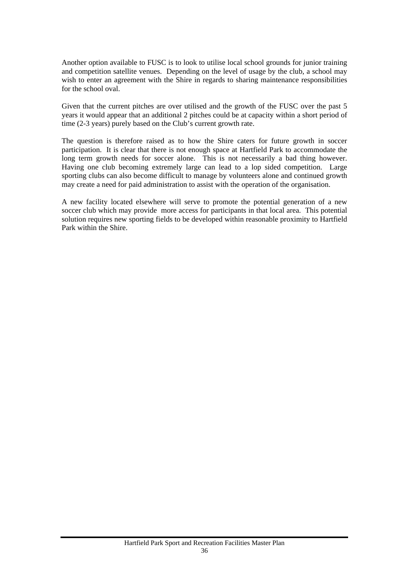Another option available to FUSC is to look to utilise local school grounds for junior training and competition satellite venues. Depending on the level of usage by the club, a school may wish to enter an agreement with the Shire in regards to sharing maintenance responsibilities for the school oval.

Given that the current pitches are over utilised and the growth of the FUSC over the past 5 years it would appear that an additional 2 pitches could be at capacity within a short period of time (2-3 years) purely based on the Club's current growth rate.

The question is therefore raised as to how the Shire caters for future growth in soccer participation. It is clear that there is not enough space at Hartfield Park to accommodate the long term growth needs for soccer alone. This is not necessarily a bad thing however. Having one club becoming extremely large can lead to a lop sided competition. Large sporting clubs can also become difficult to manage by volunteers alone and continued growth may create a need for paid administration to assist with the operation of the organisation.

A new facility located elsewhere will serve to promote the potential generation of a new soccer club which may provide more access for participants in that local area. This potential solution requires new sporting fields to be developed within reasonable proximity to Hartfield Park within the Shire.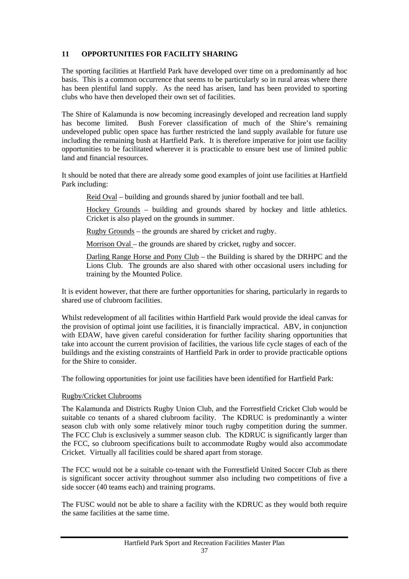# <span id="page-37-0"></span>**11 OPPORTUNITIES FOR FACILITY SHARING**

The sporting facilities at Hartfield Park have developed over time on a predominantly ad hoc basis. This is a common occurrence that seems to be particularly so in rural areas where there has been plentiful land supply. As the need has arisen, land has been provided to sporting clubs who have then developed their own set of facilities.

The Shire of Kalamunda is now becoming increasingly developed and recreation land supply has become limited. Bush Forever classification of much of the Shire's remaining undeveloped public open space has further restricted the land supply available for future use including the remaining bush at Hartfield Park. It is therefore imperative for joint use facility opportunities to be facilitated wherever it is practicable to ensure best use of limited public land and financial resources.

It should be noted that there are already some good examples of joint use facilities at Hartfield Park including:

Reid Oval – building and grounds shared by junior football and tee ball.

Hockey Grounds – building and grounds shared by hockey and little athletics. Cricket is also played on the grounds in summer.

Rugby Grounds – the grounds are shared by cricket and rugby.

Morrison Oval – the grounds are shared by cricket, rugby and soccer.

Darling Range Horse and Pony Club – the Building is shared by the DRHPC and the Lions Club. The grounds are also shared with other occasional users including for training by the Mounted Police.

It is evident however, that there are further opportunities for sharing, particularly in regards to shared use of clubroom facilities.

Whilst redevelopment of all facilities within Hartfield Park would provide the ideal canvas for the provision of optimal joint use facilities, it is financially impractical. ABV, in conjunction with EDAW, have given careful consideration for further facility sharing opportunities that take into account the current provision of facilities, the various life cycle stages of each of the buildings and the existing constraints of Hartfield Park in order to provide practicable options for the Shire to consider.

The following opportunities for joint use facilities have been identified for Hartfield Park:

# Rugby/Cricket Clubrooms

The Kalamunda and Districts Rugby Union Club, and the Forrestfield Cricket Club would be suitable co tenants of a shared clubroom facility. The KDRUC is predominantly a winter season club with only some relatively minor touch rugby competition during the summer. The FCC Club is exclusively a summer season club. The KDRUC is significantly larger than the FCC, so clubroom specifications built to accommodate Rugby would also accommodate Cricket. Virtually all facilities could be shared apart from storage.

The FCC would not be a suitable co-tenant with the Forrestfield United Soccer Club as there is significant soccer activity throughout summer also including two competitions of five a side soccer (40 teams each) and training programs.

The FUSC would not be able to share a facility with the KDRUC as they would both require the same facilities at the same time.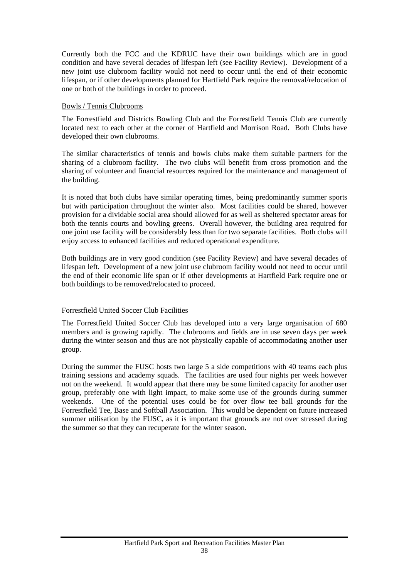Currently both the FCC and the KDRUC have their own buildings which are in good condition and have several decades of lifespan left (see Facility Review). Development of a new joint use clubroom facility would not need to occur until the end of their economic lifespan, or if other developments planned for Hartfield Park require the removal/relocation of one or both of the buildings in order to proceed.

#### Bowls / Tennis Clubrooms

The Forrestfield and Districts Bowling Club and the Forrestfield Tennis Club are currently located next to each other at the corner of Hartfield and Morrison Road. Both Clubs have developed their own clubrooms.

The similar characteristics of tennis and bowls clubs make them suitable partners for the sharing of a clubroom facility. The two clubs will benefit from cross promotion and the sharing of volunteer and financial resources required for the maintenance and management of the building.

It is noted that both clubs have similar operating times, being predominantly summer sports but with participation throughout the winter also. Most facilities could be shared, however provision for a dividable social area should allowed for as well as sheltered spectator areas for both the tennis courts and bowling greens. Overall however, the building area required for one joint use facility will be considerably less than for two separate facilities. Both clubs will enjoy access to enhanced facilities and reduced operational expenditure.

Both buildings are in very good condition (see Facility Review) and have several decades of lifespan left. Development of a new joint use clubroom facility would not need to occur until the end of their economic life span or if other developments at Hartfield Park require one or both buildings to be removed/relocated to proceed.

# Forrestfield United Soccer Club Facilities

The Forrestfield United Soccer Club has developed into a very large organisation of 680 members and is growing rapidly. The clubrooms and fields are in use seven days per week during the winter season and thus are not physically capable of accommodating another user group.

During the summer the FUSC hosts two large 5 a side competitions with 40 teams each plus training sessions and academy squads. The facilities are used four nights per week however not on the weekend. It would appear that there may be some limited capacity for another user group, preferably one with light impact, to make some use of the grounds during summer weekends. One of the potential uses could be for over flow tee ball grounds for the Forrestfield Tee, Base and Softball Association. This would be dependent on future increased summer utilisation by the FUSC, as it is important that grounds are not over stressed during the summer so that they can recuperate for the winter season.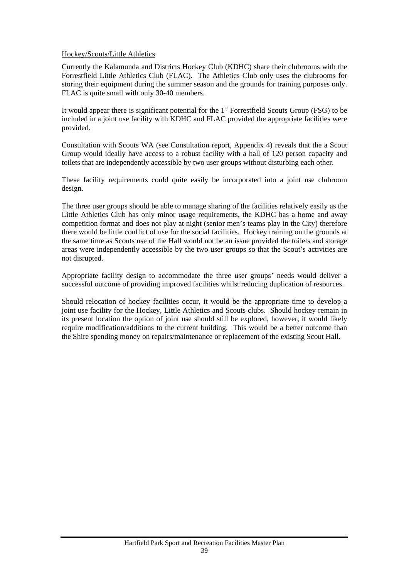## Hockey/Scouts/Little Athletics

Currently the Kalamunda and Districts Hockey Club (KDHC) share their clubrooms with the Forrestfield Little Athletics Club (FLAC). The Athletics Club only uses the clubrooms for storing their equipment during the summer season and the grounds for training purposes only. FLAC is quite small with only 30-40 members.

It would appear there is significant potential for the  $1<sup>st</sup>$  Forrestfield Scouts Group (FSG) to be included in a joint use facility with KDHC and FLAC provided the appropriate facilities were provided.

Consultation with Scouts WA (see Consultation report, Appendix 4) reveals that the a Scout Group would ideally have access to a robust facility with a hall of 120 person capacity and toilets that are independently accessible by two user groups without disturbing each other.

These facility requirements could quite easily be incorporated into a joint use clubroom design.

The three user groups should be able to manage sharing of the facilities relatively easily as the Little Athletics Club has only minor usage requirements, the KDHC has a home and away competition format and does not play at night (senior men's teams play in the City) therefore there would be little conflict of use for the social facilities. Hockey training on the grounds at the same time as Scouts use of the Hall would not be an issue provided the toilets and storage areas were independently accessible by the two user groups so that the Scout's activities are not disrupted.

Appropriate facility design to accommodate the three user groups' needs would deliver a successful outcome of providing improved facilities whilst reducing duplication of resources.

Should relocation of hockey facilities occur, it would be the appropriate time to develop a joint use facility for the Hockey, Little Athletics and Scouts clubs. Should hockey remain in its present location the option of joint use should still be explored, however, it would likely require modification/additions to the current building. This would be a better outcome than the Shire spending money on repairs/maintenance or replacement of the existing Scout Hall.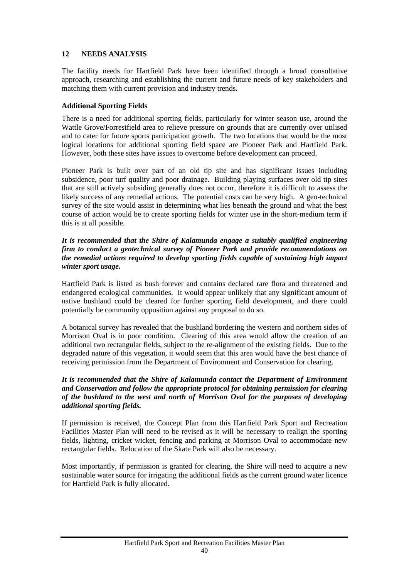# <span id="page-40-0"></span>**12 NEEDS ANALYSIS**

The facility needs for Hartfield Park have been identified through a broad consultative approach, researching and establishing the current and future needs of key stakeholders and matching them with current provision and industry trends.

# **Additional Sporting Fields**

There is a need for additional sporting fields, particularly for winter season use, around the Wattle Grove/Forrestfield area to relieve pressure on grounds that are currently over utilised and to cater for future sports participation growth. The two locations that would be the most logical locations for additional sporting field space are Pioneer Park and Hartfield Park. However, both these sites have issues to overcome before development can proceed.

Pioneer Park is built over part of an old tip site and has significant issues including subsidence, poor turf quality and poor drainage. Building playing surfaces over old tip sites that are still actively subsiding generally does not occur, therefore it is difficult to assess the likely success of any remedial actions. The potential costs can be very high. A geo-technical survey of the site would assist in determining what lies beneath the ground and what the best course of action would be to create sporting fields for winter use in the short-medium term if this is at all possible.

## *It is recommended that the Shire of Kalamunda engage a suitably qualified engineering firm to conduct a geotechnical survey of Pioneer Park and provide recommendations on the remedial actions required to develop sporting fields capable of sustaining high impact winter sport usage.*

Hartfield Park is listed as bush forever and contains declared rare flora and threatened and endangered ecological communities. It would appear unlikely that any significant amount of native bushland could be cleared for further sporting field development, and there could potentially be community opposition against any proposal to do so.

A botanical survey has revealed that the bushland bordering the western and northern sides of Morrison Oval is in poor condition. Clearing of this area would allow the creation of an additional two rectangular fields, subject to the re-alignment of the existing fields. Due to the degraded nature of this vegetation, it would seem that this area would have the best chance of receiving permission from the Department of Environment and Conservation for clearing.

# *It is recommended that the Shire of Kalamunda contact the Department of Environment and Conservation and follow the appropriate protocol for obtaining permission for clearing of the bushland to the west and north of Morrison Oval for the purposes of developing additional sporting fields.*

If permission is received, the Concept Plan from this Hartfield Park Sport and Recreation Facilities Master Plan will need to be revised as it will be necessary to realign the sporting fields, lighting, cricket wicket, fencing and parking at Morrison Oval to accommodate new rectangular fields. Relocation of the Skate Park will also be necessary.

Most importantly, if permission is granted for clearing, the Shire will need to acquire a new sustainable water source for irrigating the additional fields as the current ground water licence for Hartfield Park is fully allocated.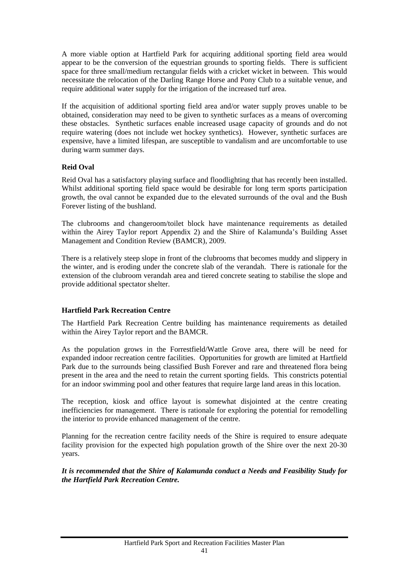A more viable option at Hartfield Park for acquiring additional sporting field area would appear to be the conversion of the equestrian grounds to sporting fields. There is sufficient space for three small/medium rectangular fields with a cricket wicket in between. This would necessitate the relocation of the Darling Range Horse and Pony Club to a suitable venue, and require additional water supply for the irrigation of the increased turf area.

If the acquisition of additional sporting field area and/or water supply proves unable to be obtained, consideration may need to be given to synthetic surfaces as a means of overcoming these obstacles. Synthetic surfaces enable increased usage capacity of grounds and do not require watering (does not include wet hockey synthetics). However, synthetic surfaces are expensive, have a limited lifespan, are susceptible to vandalism and are uncomfortable to use during warm summer days.

# **Reid Oval**

Reid Oval has a satisfactory playing surface and floodlighting that has recently been installed. Whilst additional sporting field space would be desirable for long term sports participation growth, the oval cannot be expanded due to the elevated surrounds of the oval and the Bush Forever listing of the bushland.

The clubrooms and changeroom/toilet block have maintenance requirements as detailed within the Airey Taylor report Appendix 2) and the Shire of Kalamunda's Building Asset Management and Condition Review (BAMCR), 2009.

There is a relatively steep slope in front of the clubrooms that becomes muddy and slippery in the winter, and is eroding under the concrete slab of the verandah. There is rationale for the extension of the clubroom verandah area and tiered concrete seating to stabilise the slope and provide additional spectator shelter.

# **Hartfield Park Recreation Centre**

The Hartfield Park Recreation Centre building has maintenance requirements as detailed within the Airey Taylor report and the BAMCR.

As the population grows in the Forrestfield/Wattle Grove area, there will be need for expanded indoor recreation centre facilities. Opportunities for growth are limited at Hartfield Park due to the surrounds being classified Bush Forever and rare and threatened flora being present in the area and the need to retain the current sporting fields. This constricts potential for an indoor swimming pool and other features that require large land areas in this location.

The reception, kiosk and office layout is somewhat disjointed at the centre creating inefficiencies for management. There is rationale for exploring the potential for remodelling the interior to provide enhanced management of the centre.

Planning for the recreation centre facility needs of the Shire is required to ensure adequate facility provision for the expected high population growth of the Shire over the next 20-30 years.

*It is recommended that the Shire of Kalamunda conduct a Needs and Feasibility Study for the Hartfield Park Recreation Centre.*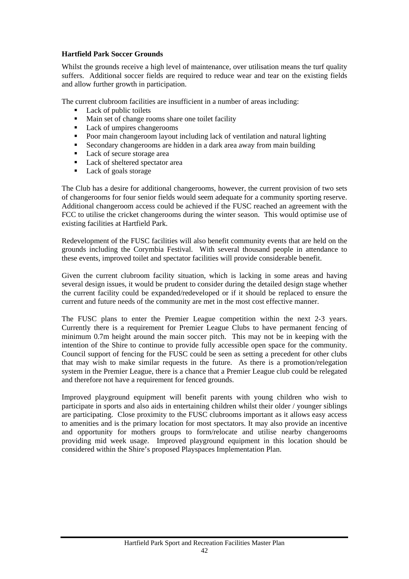# **Hartfield Park Soccer Grounds**

Whilst the grounds receive a high level of maintenance, over utilisation means the turf quality suffers. Additional soccer fields are required to reduce wear and tear on the existing fields and allow further growth in participation.

The current clubroom facilities are insufficient in a number of areas including:

- Lack of public toilets
- Main set of change rooms share one toilet facility
- Lack of umpires changerooms
- Poor main changeroom layout including lack of ventilation and natural lighting
- Secondary changerooms are hidden in a dark area away from main building
- Lack of secure storage area
- Lack of sheltered spectator area
- Lack of goals storage

The Club has a desire for additional changerooms, however, the current provision of two sets of changerooms for four senior fields would seem adequate for a community sporting reserve. Additional changeroom access could be achieved if the FUSC reached an agreement with the FCC to utilise the cricket changerooms during the winter season. This would optimise use of existing facilities at Hartfield Park.

Redevelopment of the FUSC facilities will also benefit community events that are held on the grounds including the Corymbia Festival. With several thousand people in attendance to these events, improved toilet and spectator facilities will provide considerable benefit.

Given the current clubroom facility situation, which is lacking in some areas and having several design issues, it would be prudent to consider during the detailed design stage whether the current facility could be expanded/redeveloped or if it should be replaced to ensure the current and future needs of the community are met in the most cost effective manner.

The FUSC plans to enter the Premier League competition within the next 2-3 years. Currently there is a requirement for Premier League Clubs to have permanent fencing of minimum 0.7m height around the main soccer pitch. This may not be in keeping with the intention of the Shire to continue to provide fully accessible open space for the community. Council support of fencing for the FUSC could be seen as setting a precedent for other clubs that may wish to make similar requests in the future. As there is a promotion/relegation system in the Premier League, there is a chance that a Premier League club could be relegated and therefore not have a requirement for fenced grounds.

Improved playground equipment will benefit parents with young children who wish to participate in sports and also aids in entertaining children whilst their older / younger siblings are participating. Close proximity to the FUSC clubrooms important as it allows easy access to amenities and is the primary location for most spectators. It may also provide an incentive and opportunity for mothers groups to form/relocate and utilise nearby changerooms providing mid week usage. Improved playground equipment in this location should be considered within the Shire's proposed Playspaces Implementation Plan.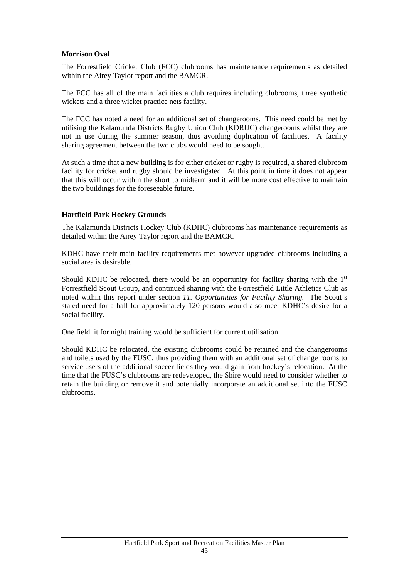#### **Morrison Oval**

The Forrestfield Cricket Club (FCC) clubrooms has maintenance requirements as detailed within the Airey Taylor report and the BAMCR.

The FCC has all of the main facilities a club requires including clubrooms, three synthetic wickets and a three wicket practice nets facility.

The FCC has noted a need for an additional set of changerooms. This need could be met by utilising the Kalamunda Districts Rugby Union Club (KDRUC) changerooms whilst they are not in use during the summer season, thus avoiding duplication of facilities. A facility sharing agreement between the two clubs would need to be sought.

At such a time that a new building is for either cricket or rugby is required, a shared clubroom facility for cricket and rugby should be investigated. At this point in time it does not appear that this will occur within the short to midterm and it will be more cost effective to maintain the two buildings for the foreseeable future.

## **Hartfield Park Hockey Grounds**

The Kalamunda Districts Hockey Club (KDHC) clubrooms has maintenance requirements as detailed within the Airey Taylor report and the BAMCR.

KDHC have their main facility requirements met however upgraded clubrooms including a social area is desirable.

Should KDHC be relocated, there would be an opportunity for facility sharing with the  $1<sup>st</sup>$ Forrestfield Scout Group, and continued sharing with the Forrestfield Little Athletics Club as noted within this report under section *11. Opportunities for Facility Sharing.* The Scout's stated need for a hall for approximately 120 persons would also meet KDHC's desire for a social facility.

One field lit for night training would be sufficient for current utilisation.

Should KDHC be relocated, the existing clubrooms could be retained and the changerooms and toilets used by the FUSC, thus providing them with an additional set of change rooms to service users of the additional soccer fields they would gain from hockey's relocation. At the time that the FUSC's clubrooms are redeveloped, the Shire would need to consider whether to retain the building or remove it and potentially incorporate an additional set into the FUSC clubrooms.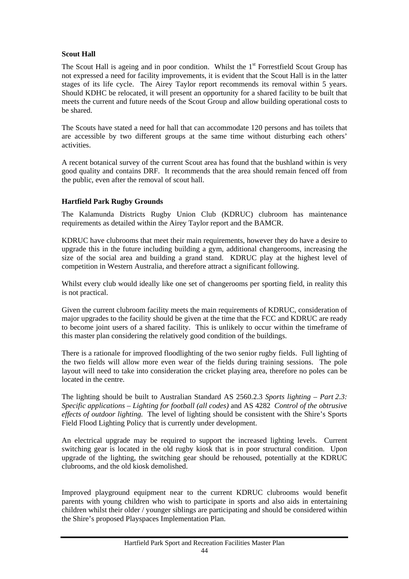# **Scout Hall**

The Scout Hall is ageing and in poor condition. Whilst the  $1<sup>st</sup>$  Forrestfield Scout Group has not expressed a need for facility improvements, it is evident that the Scout Hall is in the latter stages of its life cycle. The Airey Taylor report recommends its removal within 5 years. Should KDHC be relocated, it will present an opportunity for a shared facility to be built that meets the current and future needs of the Scout Group and allow building operational costs to be shared.

The Scouts have stated a need for hall that can accommodate 120 persons and has toilets that are accessible by two different groups at the same time without disturbing each others' activities.

A recent botanical survey of the current Scout area has found that the bushland within is very good quality and contains DRF. It recommends that the area should remain fenced off from the public, even after the removal of scout hall.

# **Hartfield Park Rugby Grounds**

The Kalamunda Districts Rugby Union Club (KDRUC) clubroom has maintenance requirements as detailed within the Airey Taylor report and the BAMCR.

KDRUC have clubrooms that meet their main requirements, however they do have a desire to upgrade this in the future including building a gym, additional changerooms, increasing the size of the social area and building a grand stand. KDRUC play at the highest level of competition in Western Australia, and therefore attract a significant following.

Whilst every club would ideally like one set of changerooms per sporting field, in reality this is not practical.

Given the current clubroom facility meets the main requirements of KDRUC, consideration of major upgrades to the facility should be given at the time that the FCC and KDRUC are ready to become joint users of a shared facility. This is unlikely to occur within the timeframe of this master plan considering the relatively good condition of the buildings.

There is a rationale for improved floodlighting of the two senior rugby fields. Full lighting of the two fields will allow more even wear of the fields during training sessions. The pole layout will need to take into consideration the cricket playing area, therefore no poles can be located in the centre.

The lighting should be built to Australian Standard AS 2560.2.3 *Sports lighting – Part 2.3: Specific applications – Lighting for football (all codes)* and AS 4282 *Control of the obtrusive effects of outdoor lighting.* The level of lighting should be consistent with the Shire's Sports Field Flood Lighting Policy that is currently under development.

An electrical upgrade may be required to support the increased lighting levels. Current switching gear is located in the old rugby kiosk that is in poor structural condition. Upon upgrade of the lighting, the switching gear should be rehoused, potentially at the KDRUC clubrooms, and the old kiosk demolished.

Improved playground equipment near to the current KDRUC clubrooms would benefit parents with young children who wish to participate in sports and also aids in entertaining children whilst their older / younger siblings are participating and should be considered within the Shire's proposed Playspaces Implementation Plan.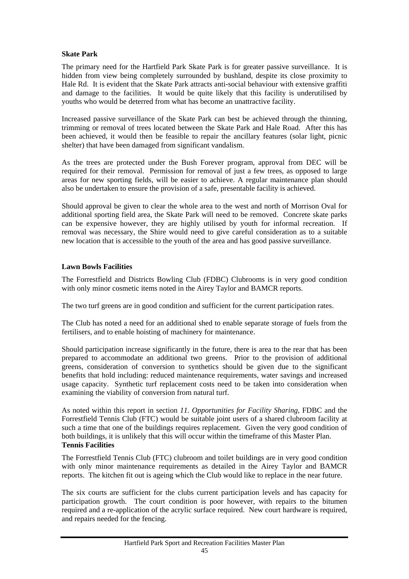# **Skate Park**

The primary need for the Hartfield Park Skate Park is for greater passive surveillance. It is hidden from view being completely surrounded by bushland, despite its close proximity to Hale Rd. It is evident that the Skate Park attracts anti-social behaviour with extensive graffiti and damage to the facilities. It would be quite likely that this facility is underutilised by youths who would be deterred from what has become an unattractive facility.

Increased passive surveillance of the Skate Park can best be achieved through the thinning, trimming or removal of trees located between the Skate Park and Hale Road. After this has been achieved, it would then be feasible to repair the ancillary features (solar light, picnic shelter) that have been damaged from significant vandalism.

As the trees are protected under the Bush Forever program, approval from DEC will be required for their removal. Permission for removal of just a few trees, as opposed to large areas for new sporting fields, will be easier to achieve. A regular maintenance plan should also be undertaken to ensure the provision of a safe, presentable facility is achieved.

Should approval be given to clear the whole area to the west and north of Morrison Oval for additional sporting field area, the Skate Park will need to be removed. Concrete skate parks can be expensive however, they are highly utilised by youth for informal recreation. If removal was necessary, the Shire would need to give careful consideration as to a suitable new location that is accessible to the youth of the area and has good passive surveillance.

## **Lawn Bowls Facilities**

The Forrestfield and Districts Bowling Club (FDBC) Clubrooms is in very good condition with only minor cosmetic items noted in the Airey Taylor and BAMCR reports.

The two turf greens are in good condition and sufficient for the current participation rates.

The Club has noted a need for an additional shed to enable separate storage of fuels from the fertilisers, and to enable hoisting of machinery for maintenance.

Should participation increase significantly in the future, there is area to the rear that has been prepared to accommodate an additional two greens. Prior to the provision of additional greens, consideration of conversion to synthetics should be given due to the significant benefits that hold including: reduced maintenance requirements, water savings and increased usage capacity. Synthetic turf replacement costs need to be taken into consideration when examining the viability of conversion from natural turf.

As noted within this report in section *11. Opportunities for Facility Sharing*, FDBC and the Forrestfield Tennis Club (FTC) would be suitable joint users of a shared clubroom facility at such a time that one of the buildings requires replacement. Given the very good condition of both buildings, it is unlikely that this will occur within the timeframe of this Master Plan. **Tennis Facilities** 

The Forrestfield Tennis Club (FTC) clubroom and toilet buildings are in very good condition with only minor maintenance requirements as detailed in the Airey Taylor and BAMCR reports. The kitchen fit out is ageing which the Club would like to replace in the near future.

The six courts are sufficient for the clubs current participation levels and has capacity for participation growth. The court condition is poor however, with repairs to the bitumen required and a re-application of the acrylic surface required. New court hardware is required, and repairs needed for the fencing.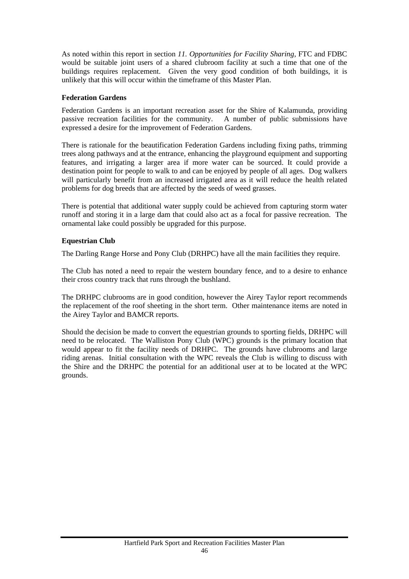As noted within this report in section *11. Opportunities for Facility Sharing*, FTC and FDBC would be suitable joint users of a shared clubroom facility at such a time that one of the buildings requires replacement. Given the very good condition of both buildings, it is unlikely that this will occur within the timeframe of this Master Plan.

# **Federation Gardens**

Federation Gardens is an important recreation asset for the Shire of Kalamunda, providing passive recreation facilities for the community. A number of public submissions have expressed a desire for the improvement of Federation Gardens.

There is rationale for the beautification Federation Gardens including fixing paths, trimming trees along pathways and at the entrance, enhancing the playground equipment and supporting features, and irrigating a larger area if more water can be sourced. It could provide a destination point for people to walk to and can be enjoyed by people of all ages. Dog walkers will particularly benefit from an increased irrigated area as it will reduce the health related problems for dog breeds that are affected by the seeds of weed grasses.

There is potential that additional water supply could be achieved from capturing storm water runoff and storing it in a large dam that could also act as a focal for passive recreation. The ornamental lake could possibly be upgraded for this purpose.

## **Equestrian Club**

The Darling Range Horse and Pony Club (DRHPC) have all the main facilities they require.

The Club has noted a need to repair the western boundary fence, and to a desire to enhance their cross country track that runs through the bushland.

The DRHPC clubrooms are in good condition, however the Airey Taylor report recommends the replacement of the roof sheeting in the short term. Other maintenance items are noted in the Airey Taylor and BAMCR reports.

Should the decision be made to convert the equestrian grounds to sporting fields, DRHPC will need to be relocated. The Walliston Pony Club (WPC) grounds is the primary location that would appear to fit the facility needs of DRHPC. The grounds have clubrooms and large riding arenas. Initial consultation with the WPC reveals the Club is willing to discuss with the Shire and the DRHPC the potential for an additional user at to be located at the WPC grounds.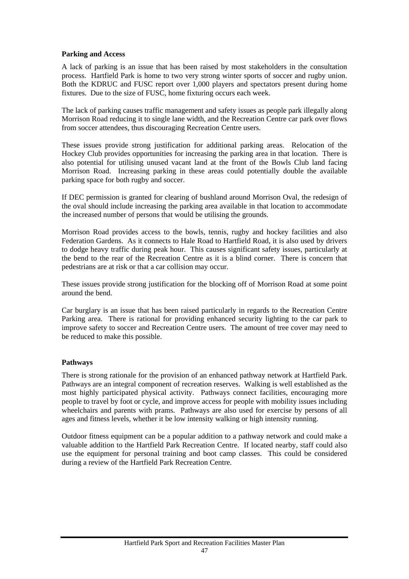# **Parking and Access**

A lack of parking is an issue that has been raised by most stakeholders in the consultation process. Hartfield Park is home to two very strong winter sports of soccer and rugby union. Both the KDRUC and FUSC report over 1,000 players and spectators present during home fixtures. Due to the size of FUSC, home fixturing occurs each week.

The lack of parking causes traffic management and safety issues as people park illegally along Morrison Road reducing it to single lane width, and the Recreation Centre car park over flows from soccer attendees, thus discouraging Recreation Centre users.

These issues provide strong justification for additional parking areas. Relocation of the Hockey Club provides opportunities for increasing the parking area in that location. There is also potential for utilising unused vacant land at the front of the Bowls Club land facing Morrison Road. Increasing parking in these areas could potentially double the available parking space for both rugby and soccer.

If DEC permission is granted for clearing of bushland around Morrison Oval, the redesign of the oval should include increasing the parking area available in that location to accommodate the increased number of persons that would be utilising the grounds.

Morrison Road provides access to the bowls, tennis, rugby and hockey facilities and also Federation Gardens. As it connects to Hale Road to Hartfield Road, it is also used by drivers to dodge heavy traffic during peak hour. This causes significant safety issues, particularly at the bend to the rear of the Recreation Centre as it is a blind corner. There is concern that pedestrians are at risk or that a car collision may occur.

These issues provide strong justification for the blocking off of Morrison Road at some point around the bend.

Car burglary is an issue that has been raised particularly in regards to the Recreation Centre Parking area. There is rational for providing enhanced security lighting to the car park to improve safety to soccer and Recreation Centre users. The amount of tree cover may need to be reduced to make this possible.

# **Pathways**

There is strong rationale for the provision of an enhanced pathway network at Hartfield Park. Pathways are an integral component of recreation reserves. Walking is well established as the most highly participated physical activity. Pathways connect facilities, encouraging more people to travel by foot or cycle, and improve access for people with mobility issues including wheelchairs and parents with prams. Pathways are also used for exercise by persons of all ages and fitness levels, whether it be low intensity walking or high intensity running.

Outdoor fitness equipment can be a popular addition to a pathway network and could make a valuable addition to the Hartfield Park Recreation Centre. If located nearby, staff could also use the equipment for personal training and boot camp classes. This could be considered during a review of the Hartfield Park Recreation Centre.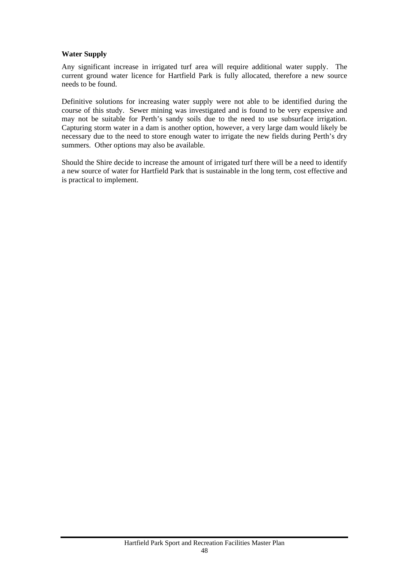# **Water Supply**

Any significant increase in irrigated turf area will require additional water supply. The current ground water licence for Hartfield Park is fully allocated, therefore a new source needs to be found.

Definitive solutions for increasing water supply were not able to be identified during the course of this study. Sewer mining was investigated and is found to be very expensive and may not be suitable for Perth's sandy soils due to the need to use subsurface irrigation. Capturing storm water in a dam is another option, however, a very large dam would likely be necessary due to the need to store enough water to irrigate the new fields during Perth's dry summers. Other options may also be available.

Should the Shire decide to increase the amount of irrigated turf there will be a need to identify a new source of water for Hartfield Park that is sustainable in the long term, cost effective and is practical to implement.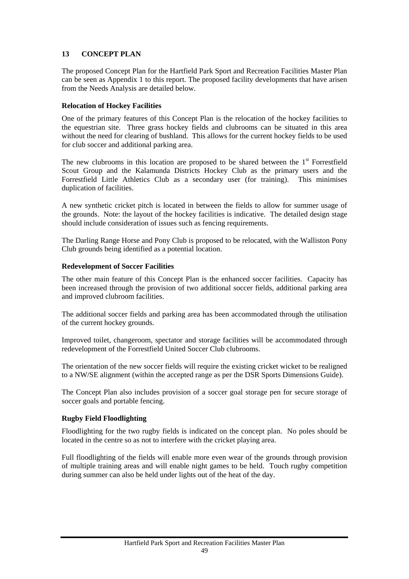# <span id="page-49-0"></span>**13 CONCEPT PLAN**

The proposed Concept Plan for the Hartfield Park Sport and Recreation Facilities Master Plan can be seen as Appendix 1 to this report. The proposed facility developments that have arisen from the Needs Analysis are detailed below.

# **Relocation of Hockey Facilities**

One of the primary features of this Concept Plan is the relocation of the hockey facilities to the equestrian site. Three grass hockey fields and clubrooms can be situated in this area without the need for clearing of bushland. This allows for the current hockey fields to be used for club soccer and additional parking area.

The new clubrooms in this location are proposed to be shared between the  $1<sup>st</sup>$  Forrestfield Scout Group and the Kalamunda Districts Hockey Club as the primary users and the Forrestfield Little Athletics Club as a secondary user (for training). This minimises duplication of facilities.

A new synthetic cricket pitch is located in between the fields to allow for summer usage of the grounds. Note: the layout of the hockey facilities is indicative. The detailed design stage should include consideration of issues such as fencing requirements.

The Darling Range Horse and Pony Club is proposed to be relocated, with the Walliston Pony Club grounds being identified as a potential location.

## **Redevelopment of Soccer Facilities**

The other main feature of this Concept Plan is the enhanced soccer facilities. Capacity has been increased through the provision of two additional soccer fields, additional parking area and improved clubroom facilities.

The additional soccer fields and parking area has been accommodated through the utilisation of the current hockey grounds.

Improved toilet, changeroom, spectator and storage facilities will be accommodated through redevelopment of the Forrestfield United Soccer Club clubrooms.

The orientation of the new soccer fields will require the existing cricket wicket to be realigned to a NW/SE alignment (within the accepted range as per the DSR Sports Dimensions Guide).

The Concept Plan also includes provision of a soccer goal storage pen for secure storage of soccer goals and portable fencing.

#### **Rugby Field Floodlighting**

Floodlighting for the two rugby fields is indicated on the concept plan. No poles should be located in the centre so as not to interfere with the cricket playing area.

Full floodlighting of the fields will enable more even wear of the grounds through provision of multiple training areas and will enable night games to be held. Touch rugby competition during summer can also be held under lights out of the heat of the day.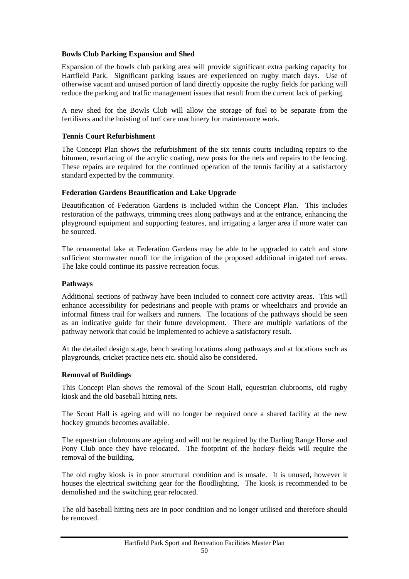## **Bowls Club Parking Expansion and Shed**

Expansion of the bowls club parking area will provide significant extra parking capacity for Hartfield Park. Significant parking issues are experienced on rugby match days. Use of otherwise vacant and unused portion of land directly opposite the rugby fields for parking will reduce the parking and traffic management issues that result from the current lack of parking.

A new shed for the Bowls Club will allow the storage of fuel to be separate from the fertilisers and the hoisting of turf care machinery for maintenance work.

## **Tennis Court Refurbishment**

The Concept Plan shows the refurbishment of the six tennis courts including repairs to the bitumen, resurfacing of the acrylic coating, new posts for the nets and repairs to the fencing. These repairs are required for the continued operation of the tennis facility at a satisfactory standard expected by the community.

## **Federation Gardens Beautification and Lake Upgrade**

Beautification of Federation Gardens is included within the Concept Plan. This includes restoration of the pathways, trimming trees along pathways and at the entrance, enhancing the playground equipment and supporting features, and irrigating a larger area if more water can be sourced.

The ornamental lake at Federation Gardens may be able to be upgraded to catch and store sufficient stormwater runoff for the irrigation of the proposed additional irrigated turf areas. The lake could continue its passive recreation focus.

## **Pathways**

Additional sections of pathway have been included to connect core activity areas. This will enhance accessibility for pedestrians and people with prams or wheelchairs and provide an informal fitness trail for walkers and runners. The locations of the pathways should be seen as an indicative guide for their future development. There are multiple variations of the pathway network that could be implemented to achieve a satisfactory result.

At the detailed design stage, bench seating locations along pathways and at locations such as playgrounds, cricket practice nets etc. should also be considered.

#### **Removal of Buildings**

This Concept Plan shows the removal of the Scout Hall, equestrian clubrooms, old rugby kiosk and the old baseball hitting nets.

The Scout Hall is ageing and will no longer be required once a shared facility at the new hockey grounds becomes available.

The equestrian clubrooms are ageing and will not be required by the Darling Range Horse and Pony Club once they have relocated. The footprint of the hockey fields will require the removal of the building.

The old rugby kiosk is in poor structural condition and is unsafe. It is unused, however it houses the electrical switching gear for the floodlighting. The kiosk is recommended to be demolished and the switching gear relocated.

The old baseball hitting nets are in poor condition and no longer utilised and therefore should be removed.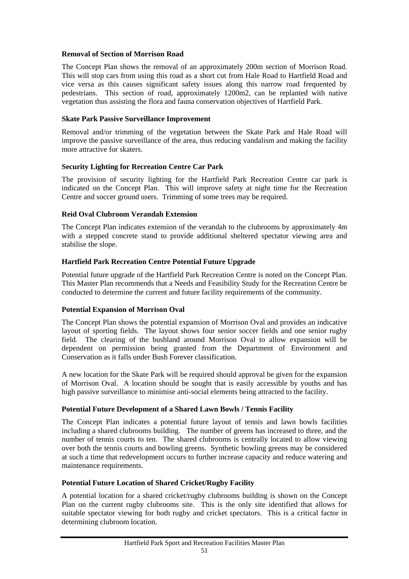## **Removal of Section of Morrison Road**

The Concept Plan shows the removal of an approximately 200m section of Morrison Road. This will stop cars from using this road as a short cut from Hale Road to Hartfield Road and vice versa as this causes significant safety issues along this narrow road frequented by pedestrians. This section of road, approximately 1200m2, can be replanted with native vegetation thus assisting the flora and fauna conservation objectives of Hartfield Park.

# **Skate Park Passive Surveillance Improvement**

Removal and/or trimming of the vegetation between the Skate Park and Hale Road will improve the passive surveillance of the area, thus reducing vandalism and making the facility more attractive for skaters.

## **Security Lighting for Recreation Centre Car Park**

The provision of security lighting for the Hartfield Park Recreation Centre car park is indicated on the Concept Plan. This will improve safety at night time for the Recreation Centre and soccer ground users. Trimming of some trees may be required.

## **Reid Oval Clubroom Verandah Extension**

The Concept Plan indicates extension of the verandah to the clubrooms by approximately 4m with a stepped concrete stand to provide additional sheltered spectator viewing area and stabilise the slope.

# **Hartfield Park Recreation Centre Potential Future Upgrade**

Potential future upgrade of the Hartfield Park Recreation Centre is noted on the Concept Plan. This Master Plan recommends that a Needs and Feasibility Study for the Recreation Centre be conducted to determine the current and future facility requirements of the community.

# **Potential Expansion of Morrison Oval**

The Concept Plan shows the potential expansion of Morrison Oval and provides an indicative layout of sporting fields. The layout shows four senior soccer fields and one senior rugby field. The clearing of the bushland around Morrison Oval to allow expansion will be dependent on permission being granted from the Department of Environment and Conservation as it falls under Bush Forever classification.

A new location for the Skate Park will be required should approval be given for the expansion of Morrison Oval. A location should be sought that is easily accessible by youths and has high passive surveillance to minimise anti-social elements being attracted to the facility.

#### **Potential Future Development of a Shared Lawn Bowls / Tennis Facility**

The Concept Plan indicates a potential future layout of tennis and lawn bowls facilities including a shared clubrooms building. The number of greens has increased to three, and the number of tennis courts to ten. The shared clubrooms is centrally located to allow viewing over both the tennis courts and bowling greens. Synthetic bowling greens may be considered at such a time that redevelopment occurs to further increase capacity and reduce watering and maintenance requirements.

#### **Potential Future Location of Shared Cricket/Rugby Facility**

A potential location for a shared cricket/rugby clubrooms building is shown on the Concept Plan on the current rugby clubrooms site. This is the only site identified that allows for suitable spectator viewing for both rugby and cricket spectators. This is a critical factor in determining clubroom location.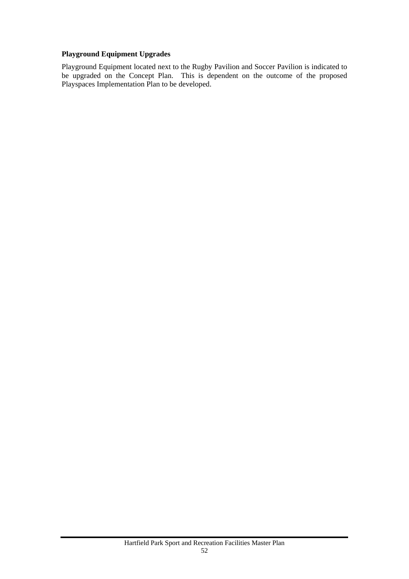# **Playground Equipment Upgrades**

Playground Equipment located next to the Rugby Pavilion and Soccer Pavilion is indicated to be upgraded on the Concept Plan. This is dependent on the outcome of the proposed Playspaces Implementation Plan to be developed.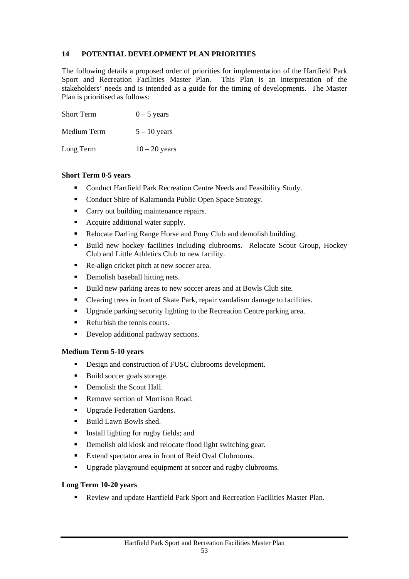# <span id="page-53-0"></span>**14 POTENTIAL DEVELOPMENT PLAN PRIORITIES**

The following details a proposed order of priorities for implementation of the Hartfield Park Sport and Recreation Facilities Master Plan. This Plan is an interpretation of the stakeholders' needs and is intended as a guide for the timing of developments. The Master Plan is prioritised as follows:

| <b>Short Term</b> | $0 - 5$ years   |
|-------------------|-----------------|
| Medium Term       | $5 - 10$ years  |
| Long Term         | $10 - 20$ years |

# **Short Term 0-5 years**

- **Conduct Hartfield Park Recreation Centre Needs and Feasibility Study.**
- Conduct Shire of Kalamunda Public Open Space Strategy.
- Carry out building maintenance repairs.
- Acquire additional water supply.
- Relocate Darling Range Horse and Pony Club and demolish building.
- Build new hockey facilities including clubrooms. Relocate Scout Group, Hockey Club and Little Athletics Club to new facility.
- Re-align cricket pitch at new soccer area.
- Demolish baseball hitting nets.
- Build new parking areas to new soccer areas and at Bowls Club site.
- Clearing trees in front of Skate Park, repair vandalism damage to facilities.
- Upgrade parking security lighting to the Recreation Centre parking area.
- Refurbish the tennis courts.
- Develop additional pathway sections.

# **Medium Term 5-10 years**

- Design and construction of FUSC clubrooms development.
- Build soccer goals storage.
- Demolish the Scout Hall.
- Remove section of Morrison Road.
- **Upgrade Federation Gardens.**
- Build Lawn Bowls shed.
- Install lighting for rugby fields; and
- Demolish old kiosk and relocate flood light switching gear.
- Extend spectator area in front of Reid Oval Clubrooms.
- Upgrade playground equipment at soccer and rugby clubrooms.

# **Long Term 10-20 years**

Review and update Hartfield Park Sport and Recreation Facilities Master Plan.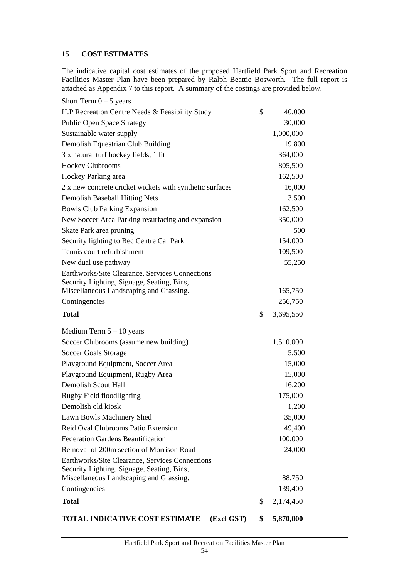# <span id="page-54-0"></span>**15 COST ESTIMATES**

The indicative capital cost estimates of the proposed Hartfield Park Sport and Recreation Facilities Master Plan have been prepared by Ralph Beattie Bosworth. The full report is attached as Appendix 7 to this report. A summary of the costings are provided below.

| TOTAL INDICATIVE COST ESTIMATE<br>(Excl GST)                                          | \$<br>5,870,000   |
|---------------------------------------------------------------------------------------|-------------------|
| <b>Total</b>                                                                          | \$<br>2,174,450   |
| Contingencies                                                                         | 139,400           |
| Security Lighting, Signage, Seating, Bins,<br>Miscellaneous Landscaping and Grassing. | 88,750            |
| Earthworks/Site Clearance, Services Connections                                       |                   |
| Removal of 200m section of Morrison Road                                              | 100,000<br>24,000 |
| Reid Oval Clubrooms Patio Extension<br><b>Federation Gardens Beautification</b>       | 49,400            |
| Lawn Bowls Machinery Shed                                                             | 35,000            |
| Demolish old kiosk                                                                    | 1,200             |
| Rugby Field floodlighting                                                             | 175,000           |
| <b>Demolish Scout Hall</b>                                                            | 16,200            |
| Playground Equipment, Rugby Area                                                      | 15,000            |
| Playground Equipment, Soccer Area                                                     | 15,000            |
| <b>Soccer Goals Storage</b>                                                           | 5,500             |
| Soccer Clubrooms (assume new building)                                                | 1,510,000         |
| Medium Term $5 - 10$ years                                                            |                   |
| <b>Total</b>                                                                          | \$<br>3,695,550   |
| Contingencies                                                                         | 256,750           |
| Miscellaneous Landscaping and Grassing.                                               | 165,750           |
| Security Lighting, Signage, Seating, Bins,                                            |                   |
| Earthworks/Site Clearance, Services Connections                                       |                   |
| New dual use pathway                                                                  | 55,250            |
| Tennis court refurbishment                                                            | 109,500           |
| Security lighting to Rec Centre Car Park                                              | 154,000           |
| Skate Park area pruning                                                               | 500               |
| New Soccer Area Parking resurfacing and expansion                                     | 350,000           |
| <b>Bowls Club Parking Expansion</b>                                                   | 162,500           |
| Demolish Baseball Hitting Nets                                                        | 3,500             |
| 2 x new concrete cricket wickets with synthetic surfaces                              | 16,000            |
| Hockey Parking area                                                                   | 162,500           |
| <b>Hockey Clubrooms</b>                                                               | 805,500           |
| 3 x natural turf hockey fields, 1 lit                                                 | 364,000           |
| Demolish Equestrian Club Building                                                     | 19,800            |
| Sustainable water supply                                                              | 1,000,000         |
| <b>Public Open Space Strategy</b>                                                     | 30,000            |
| H.P Recreation Centre Needs & Feasibility Study                                       | \$<br>40,000      |
| Short Term $0 - 5$ years                                                              |                   |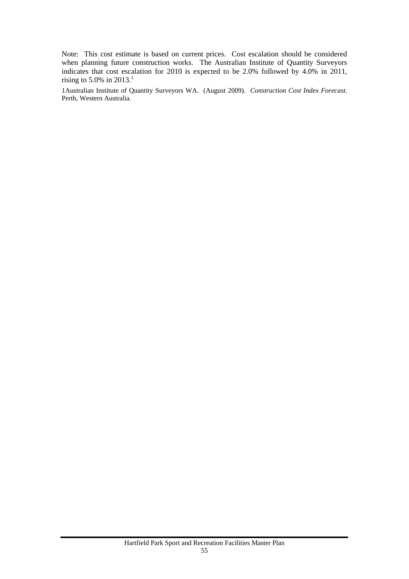Note: This cost estimate is based on current prices. Cost escalation should be considered when planning future construction works. The Australian Institute of Quantity Surveyors indicates that cost escalation for 2010 is expected to be 2.0% followed by 4.0% in 2011, rising to 5.0% in 2013.<sup>1</sup>

1Australian Institute of Quantity Surveyors WA. (August 2009). *Construction Cost Index Forecast*. Perth, Western Australia.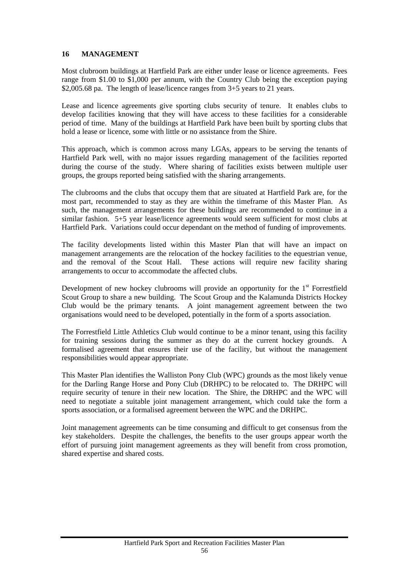# **16 MANAGEMENT**

Most clubroom buildings at Hartfield Park are either under lease or licence agreements. Fees range from \$1.00 to \$1,000 per annum, with the Country Club being the exception paying \$2,005.68 pa. The length of lease/licence ranges from  $3+5$  years to 21 years.

<span id="page-56-0"></span>Lease and licence agreements give sporting clubs security of tenure. It enables clubs to develop facilities knowing that they will have access to these facilities for a considerable period of time. Many of the buildings at Hartfield Park have been built by sporting clubs that hold a lease or licence, some with little or no assistance from the Shire.

This approach, which is common across many LGAs, appears to be serving the tenants of Hartfield Park well, with no major issues regarding management of the facilities reported during the course of the study. Where sharing of facilities exists between multiple user groups, the groups reported being satisfied with the sharing arrangements.

The clubrooms and the clubs that occupy them that are situated at Hartfield Park are, for the most part, recommended to stay as they are within the timeframe of this Master Plan. As such, the management arrangements for these buildings are recommended to continue in a similar fashion. 5+5 year lease/licence agreements would seem sufficient for most clubs at Hartfield Park. Variations could occur dependant on the method of funding of improvements.

The facility developments listed within this Master Plan that will have an impact on management arrangements are the relocation of the hockey facilities to the equestrian venue, and the removal of the Scout Hall. These actions will require new facility sharing arrangements to occur to accommodate the affected clubs.

Development of new hockey clubrooms will provide an opportunity for the  $1<sup>st</sup>$  Forrestfield Scout Group to share a new building. The Scout Group and the Kalamunda Districts Hockey Club would be the primary tenants. A joint management agreement between the two organisations would need to be developed, potentially in the form of a sports association.

The Forrestfield Little Athletics Club would continue to be a minor tenant, using this facility for training sessions during the summer as they do at the current hockey grounds. A formalised agreement that ensures their use of the facility, but without the management responsibilities would appear appropriate.

This Master Plan identifies the Walliston Pony Club (WPC) grounds as the most likely venue for the Darling Range Horse and Pony Club (DRHPC) to be relocated to. The DRHPC will require security of tenure in their new location. The Shire, the DRHPC and the WPC will need to negotiate a suitable joint management arrangement, which could take the form a sports association, or a formalised agreement between the WPC and the DRHPC.

Joint management agreements can be time consuming and difficult to get consensus from the key stakeholders. Despite the challenges, the benefits to the user groups appear worth the effort of pursuing joint management agreements as they will benefit from cross promotion, shared expertise and shared costs.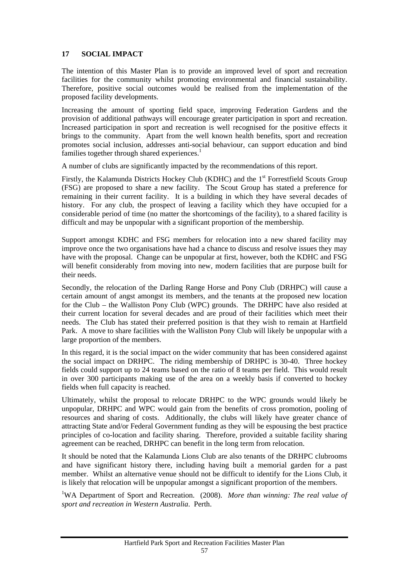# <span id="page-57-0"></span>**17 SOCIAL IMPACT**

The intention of this Master Plan is to provide an improved level of sport and recreation facilities for the community whilst promoting environmental and financial sustainability. Therefore, positive social outcomes would be realised from the implementation of the proposed facility developments.

Increasing the amount of sporting field space, improving Federation Gardens and the provision of additional pathways will encourage greater participation in sport and recreation. Increased participation in sport and recreation is well recognised for the positive effects it brings to the community. Apart from the well known health benefits, sport and recreation promotes social inclusion, addresses anti-social behaviour, can support education and bind families together through shared experiences. $<sup>1</sup>$ </sup>

A number of clubs are significantly impacted by the recommendations of this report.

Firstly, the Kalamunda Districts Hockey Club (KDHC) and the 1<sup>st</sup> Forrestfield Scouts Group (FSG) are proposed to share a new facility. The Scout Group has stated a preference for remaining in their current facility. It is a building in which they have several decades of history. For any club, the prospect of leaving a facility which they have occupied for a considerable period of time (no matter the shortcomings of the facility), to a shared facility is difficult and may be unpopular with a significant proportion of the membership.

Support amongst KDHC and FSG members for relocation into a new shared facility may improve once the two organisations have had a chance to discuss and resolve issues they may have with the proposal. Change can be unpopular at first, however, both the KDHC and FSG will benefit considerably from moving into new, modern facilities that are purpose built for their needs.

Secondly, the relocation of the Darling Range Horse and Pony Club (DRHPC) will cause a certain amount of angst amongst its members, and the tenants at the proposed new location for the Club – the Walliston Pony Club (WPC) grounds. The DRHPC have also resided at their current location for several decades and are proud of their facilities which meet their needs. The Club has stated their preferred position is that they wish to remain at Hartfield Park. A move to share facilities with the Walliston Pony Club will likely be unpopular with a large proportion of the members.

In this regard, it is the social impact on the wider community that has been considered against the social impact on DRHPC. The riding membership of DRHPC is 30-40. Three hockey fields could support up to 24 teams based on the ratio of 8 teams per field. This would result in over 300 participants making use of the area on a weekly basis if converted to hockey fields when full capacity is reached.

Ultimately, whilst the proposal to relocate DRHPC to the WPC grounds would likely be unpopular, DRHPC and WPC would gain from the benefits of cross promotion, pooling of resources and sharing of costs. Additionally, the clubs will likely have greater chance of attracting State and/or Federal Government funding as they will be espousing the best practice principles of co-location and facility sharing. Therefore, provided a suitable facility sharing agreement can be reached, DRHPC can benefit in the long term from relocation.

It should be noted that the Kalamunda Lions Club are also tenants of the DRHPC clubrooms and have significant history there, including having built a memorial garden for a past member. Whilst an alternative venue should not be difficult to identify for the Lions Club, it is likely that relocation will be unpopular amongst a significant proportion of the members.

<sup>1</sup>WA Department of Sport and Recreation. (2008). *More than winning: The real value of sport and recreation in Western Australia*. Perth.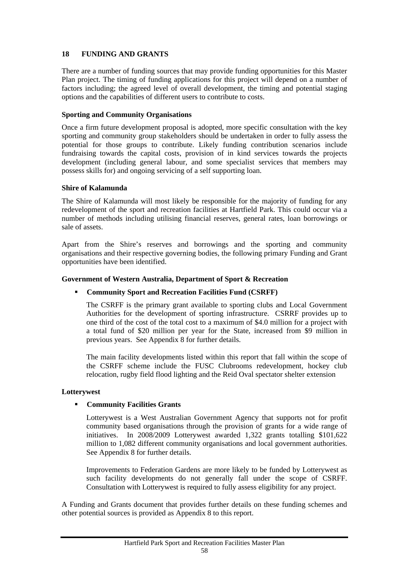# <span id="page-58-0"></span>**18 FUNDING AND GRANTS**

There are a number of funding sources that may provide funding opportunities for this Master Plan project. The timing of funding applications for this project will depend on a number of factors including; the agreed level of overall development, the timing and potential staging options and the capabilities of different users to contribute to costs.

## **Sporting and Community Organisations**

Once a firm future development proposal is adopted, more specific consultation with the key sporting and community group stakeholders should be undertaken in order to fully assess the potential for those groups to contribute. Likely funding contribution scenarios include fundraising towards the capital costs, provision of in kind services towards the projects development (including general labour, and some specialist services that members may possess skills for) and ongoing servicing of a self supporting loan.

## **Shire of Kalamunda**

The Shire of Kalamunda will most likely be responsible for the majority of funding for any redevelopment of the sport and recreation facilities at Hartfield Park. This could occur via a number of methods including utilising financial reserves, general rates, loan borrowings or sale of assets.

Apart from the Shire's reserves and borrowings and the sporting and community organisations and their respective governing bodies, the following primary Funding and Grant opportunities have been identified.

## **Government of Western Australia, Department of Sport & Recreation**

# **Community Sport and Recreation Facilities Fund (CSRFF)**

The CSRFF is the primary grant available to sporting clubs and Local Government Authorities for the development of sporting infrastructure. CSRRF provides up to one third of the cost of the total cost to a maximum of \$4.0 million for a project with a total fund of \$20 million per year for the State, increased from \$9 million in previous years. See Appendix 8 for further details.

The main facility developments listed within this report that fall within the scope of the CSRFF scheme include the FUSC Clubrooms redevelopment, hockey club relocation, rugby field flood lighting and the Reid Oval spectator shelter extension

#### **Lotterywest**

# **Community Facilities Grants**

Lotterywest is a West Australian Government Agency that supports not for profit community based organisations through the provision of grants for a wide range of initiatives. In 2008/2009 Lotterywest awarded 1,322 grants totalling \$101,622 million to 1,082 different community organisations and local government authorities. See Appendix 8 for further details.

Improvements to Federation Gardens are more likely to be funded by Lotterywest as such facility developments do not generally fall under the scope of CSRFF. Consultation with Lotterywest is required to fully assess eligibility for any project.

A Funding and Grants document that provides further details on these funding schemes and other potential sources is provided as Appendix 8 to this report.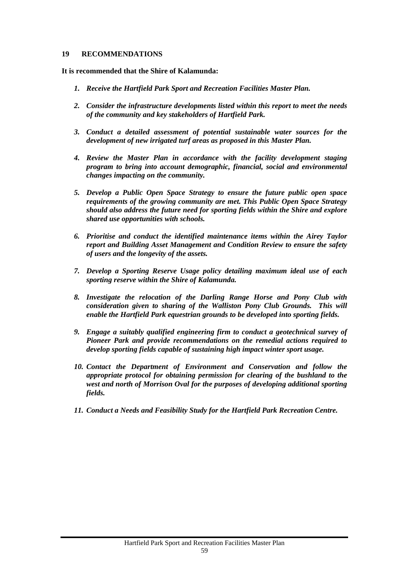#### <span id="page-59-0"></span>**19 RECOMMENDATIONS**

**It is recommended that the Shire of Kalamunda:** 

- *1. Receive the Hartfield Park Sport and Recreation Facilities Master Plan.*
- *2. Consider the infrastructure developments listed within this report to meet the needs of the community and key stakeholders of Hartfield Park.*
- *3. Conduct a detailed assessment of potential sustainable water sources for the development of new irrigated turf areas as proposed in this Master Plan.*
- *4. Review the Master Plan in accordance with the facility development staging program to bring into account demographic, financial, social and environmental changes impacting on the community.*
- *5. Develop a Public Open Space Strategy to ensure the future public open space requirements of the growing community are met. This Public Open Space Strategy should also address the future need for sporting fields within the Shire and explore shared use opportunities with schools.*
- *6. Prioritise and conduct the identified maintenance items within the Airey Taylor report and Building Asset Management and Condition Review to ensure the safety of users and the longevity of the assets.*
- *7. Develop a Sporting Reserve Usage policy detailing maximum ideal use of each sporting reserve within the Shire of Kalamunda.*
- *8. Investigate the relocation of the Darling Range Horse and Pony Club with consideration given to sharing of the Walliston Pony Club Grounds. This will enable the Hartfield Park equestrian grounds to be developed into sporting fields.*
- *9. Engage a suitably qualified engineering firm to conduct a geotechnical survey of Pioneer Park and provide recommendations on the remedial actions required to develop sporting fields capable of sustaining high impact winter sport usage.*
- *10. Contact the Department of Environment and Conservation and follow the appropriate protocol for obtaining permission for clearing of the bushland to the west and north of Morrison Oval for the purposes of developing additional sporting fields.*
- *11. Conduct a Needs and Feasibility Study for the Hartfield Park Recreation Centre.*